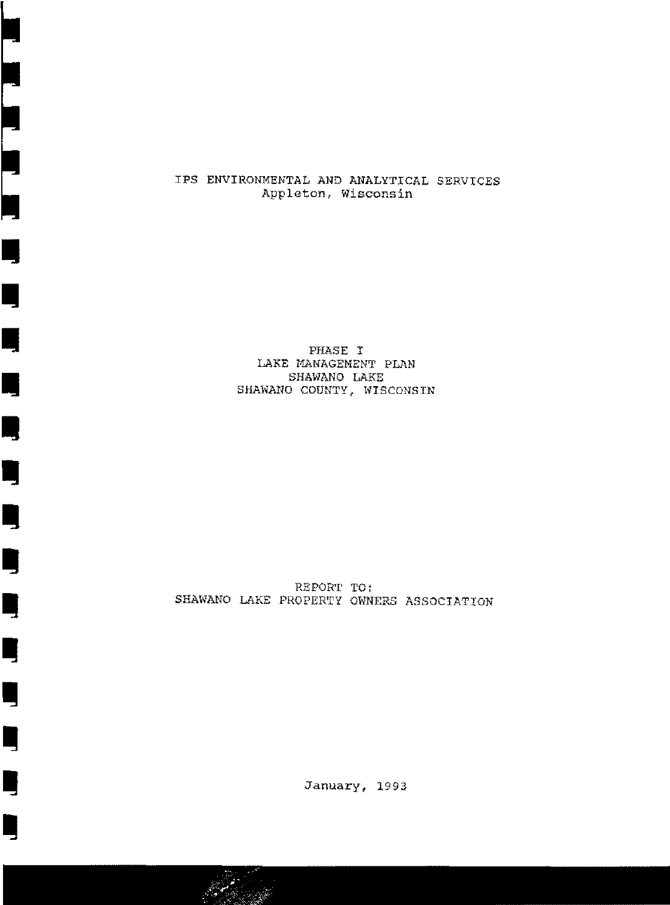#### IPS ENVIRONMENTAL AND ANALYTICAL SERVICES Appleton, Wisconsin

I

For the second contract of the second contract of the second contract of the second contract of the second contract of the second contract of the second contract of the second contract of the second contract of the second

**iij** 

•

I

**•** 

**y** 

•

Ill

Ill

**Ill** 

**i** 

I

I

**I** 

PHASE I LAKE MANAGEMENT PLAN SHAWANO LAKE SHAWANO COUNTY, WISCONSIN

REPORT TO: SHAWANO LAKE PROPERTY OWNERS ASSOCIATION

January, 1993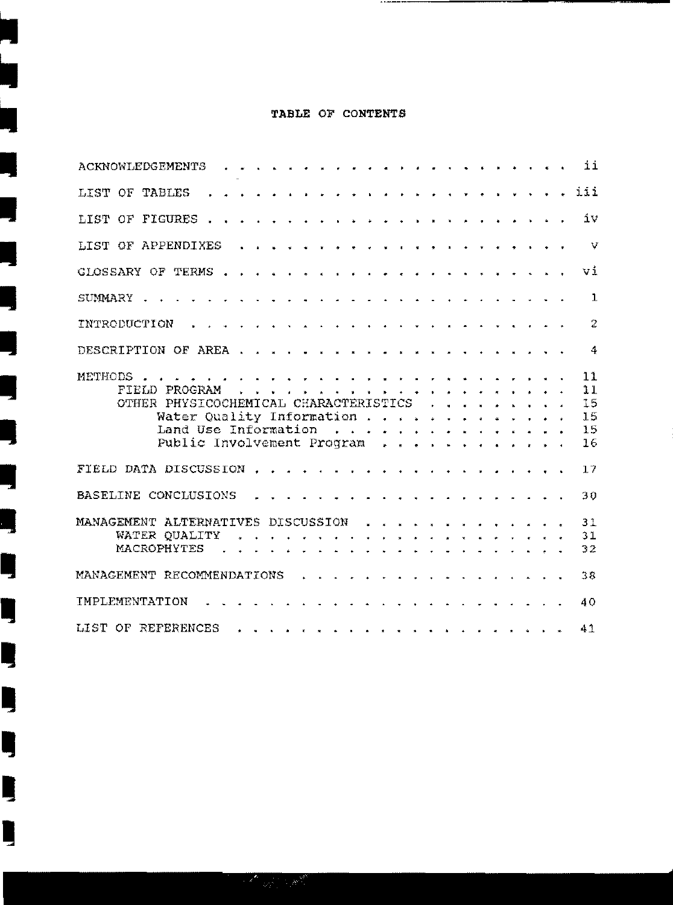#### TABLE OF CONTENTS

j.

Ę

 $\frac{1}{2}$ 

J

J

ų

Ŋ

Ŋ

Ę

Ę

I

I

-------

|                                    |  |                                                                                                                          |  |  |  |  |  |  |  |  |                               |  |  |  | ii                               |
|------------------------------------|--|--------------------------------------------------------------------------------------------------------------------------|--|--|--|--|--|--|--|--|-------------------------------|--|--|--|----------------------------------|
| LIST OF TABLES                     |  |                                                                                                                          |  |  |  |  |  |  |  |  |                               |  |  |  | iii                              |
|                                    |  |                                                                                                                          |  |  |  |  |  |  |  |  |                               |  |  |  | íν                               |
|                                    |  |                                                                                                                          |  |  |  |  |  |  |  |  |                               |  |  |  | $\mathcal{V}$                    |
|                                    |  |                                                                                                                          |  |  |  |  |  |  |  |  |                               |  |  |  | vi                               |
|                                    |  |                                                                                                                          |  |  |  |  |  |  |  |  |                               |  |  |  | $\mathbf{1}$                     |
|                                    |  |                                                                                                                          |  |  |  |  |  |  |  |  |                               |  |  |  | $\overline{2}$                   |
|                                    |  |                                                                                                                          |  |  |  |  |  |  |  |  |                               |  |  |  | $\frac{4}{3}$                    |
| <b>METHODS</b>                     |  | OTHER PHYSICOCHEMICAL CHARACTERISTICS<br>Water Quality Information<br>Land Use Information<br>Public Involvement Program |  |  |  |  |  |  |  |  |                               |  |  |  | 11<br>11<br>15<br>15<br>15<br>16 |
| FIELD DATA DISCUSSION              |  |                                                                                                                          |  |  |  |  |  |  |  |  | and a series and a series and |  |  |  | 17                               |
| BASELINE CONCLUSIONS               |  |                                                                                                                          |  |  |  |  |  |  |  |  |                               |  |  |  | 30                               |
| MANAGEMENT ALTERNATIVES DISCUSSION |  |                                                                                                                          |  |  |  |  |  |  |  |  |                               |  |  |  | 31<br>31<br>32                   |
| MANAGEMENT RECOMMENDATIONS         |  |                                                                                                                          |  |  |  |  |  |  |  |  | . <i>. .</i>                  |  |  |  | 38                               |
| IMPLEMENTATION                     |  |                                                                                                                          |  |  |  |  |  |  |  |  |                               |  |  |  | 40                               |
| LIST OF REFERENCES                 |  |                                                                                                                          |  |  |  |  |  |  |  |  |                               |  |  |  | 41                               |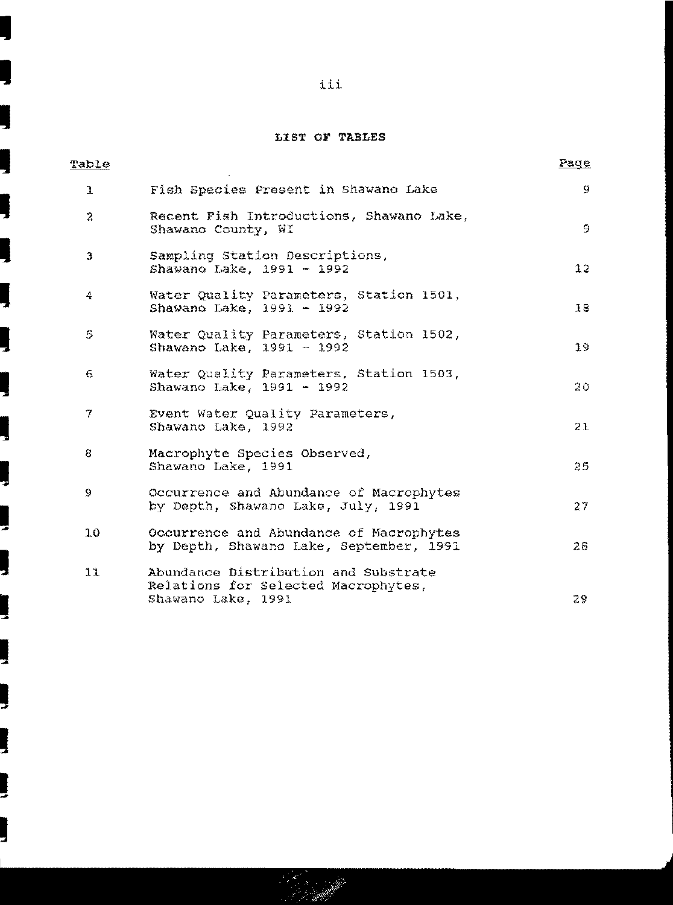# LIST OF TABLES

| Table        |                                                                                                   | <u>Page</u> |
|--------------|---------------------------------------------------------------------------------------------------|-------------|
| $\mathbf{I}$ | Fish Species Present in Shawano Lake                                                              | 9           |
| 2            | Recent Fish Introductions, Shawano Lake,<br>Shawano County, WI                                    | 9           |
| 3            | Sampling Station Descriptions,<br>Shawano Lake, 1991 - 1992                                       | 12          |
| 4            | Water Quality Parameters, Station 1501,<br>Shawano Lake, 1991 - 1992                              | 18          |
| 5            | Water Quality Parameters, Station 1502,<br>Shawano Lake, 1991 - 1992                              | 19          |
| 6            | Water Quality Parameters, Station 1503,<br>Shawano Lake, 1991 - 1992                              | 20          |
| 7            | Event Water Quality Parameters,<br>Shawano Lake, 1992                                             | 21          |
| 8            | Macrophyte Species Observed,<br>Shawano Lake, 1991                                                | 25          |
| 9            | Occurrence and Abundance of Macrophytes<br>by Depth, Shawano Lake, July, 1991                     | 27          |
| 10           | Occurrence and Abundance of Macrophytes<br>by Depth, Shawano Lake, September, 1991                | 28          |
| 11           | Abundance Distribution and Substrate<br>Relations for Selected Macrophytes,<br>Shawano Lake, 1991 | 29          |

J

l

ļ

ļ

ļ

ļ

Į

J

ļ

륯

ļ

ļ

₹

J

ļ

ļ

۳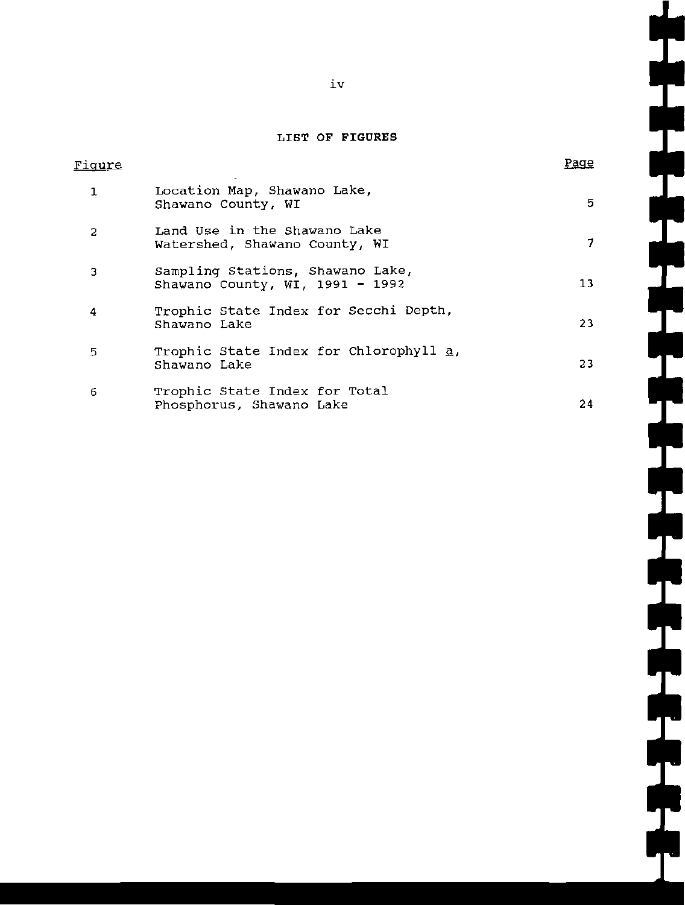# **LIST OF FIGURES**

| Fiqure |                                                                     | Paqe |
|--------|---------------------------------------------------------------------|------|
| 1      | Location Map, Shawano Lake,<br>Shawano County, WI                   | 5.   |
| 2      | Land Use in the Shawano Lake<br>Watershed, Shawano County, WI       | 7.   |
| 3      | Sampling Stations, Shawano Lake,<br>Shawano County, WI, 1991 - 1992 | 13   |
| 4      | Trophic State Index for Secchi Depth,<br>Shawano Lake               | 23   |
| 5      | Trophic State Index for Chlorophyll a,<br>Shawano Lake              | 23   |
| 6      | Trophic State Index for Total<br>Phosphorus, Shawano Lake           | 24   |

L.

L.

 $\overline{\phantom{0}}$ 

 $\mathsf{L}$ 

 $\mathcal{L}_{\mathcal{A}}$ 

 $\mathbf{L}$ 

iv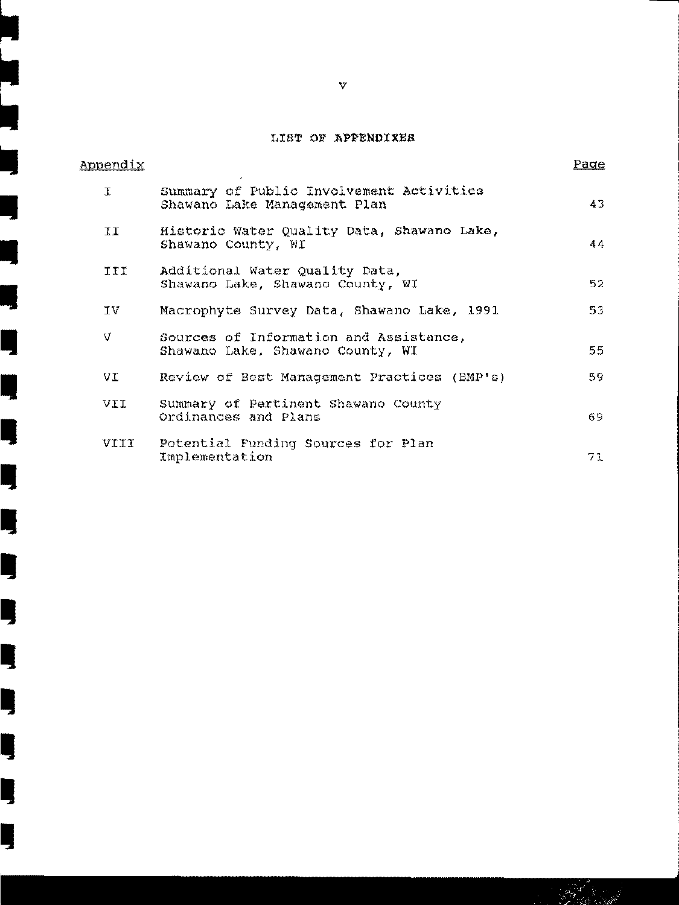# LIST OF APPENDIXES

| <b>Appendix</b> |                                                                            | <u>Page</u> |
|-----------------|----------------------------------------------------------------------------|-------------|
| T               | Summary of Public Involvement Activities<br>Shawano Lake Management Plan   | 43.         |
| II              | Historic Water Quality Data, Shawano Lake,<br>Shawano County, WI           | 44          |
| <b>TIT</b>      | Additional Water Quality Data,<br>Shawano Lake, Shawano County, WI         | 52          |
| ΊV              | Macrophyte Survey Data, Shawano Lake, 1991                                 | 53.         |
| V               | Sources of Information and Assistance,<br>Shawano Lake, Shawano County, WI | 55          |
| VI.             | Review of Best Management Practices (BMP's)                                | 59.         |
| <b>IIV</b>      | Summary of Pertinent Shawano County<br>Ordinances and Plans                | 69.         |
| VIII            | Potential Funding Sources for Plan<br>Implementation                       | 71          |

v

**.**<br>-<br>-

•

•

•

•<br>•<br>•

•

•<br>•<br>•

•

Ill

Ill

Ill

Ill

II

II

II

II

II

II

II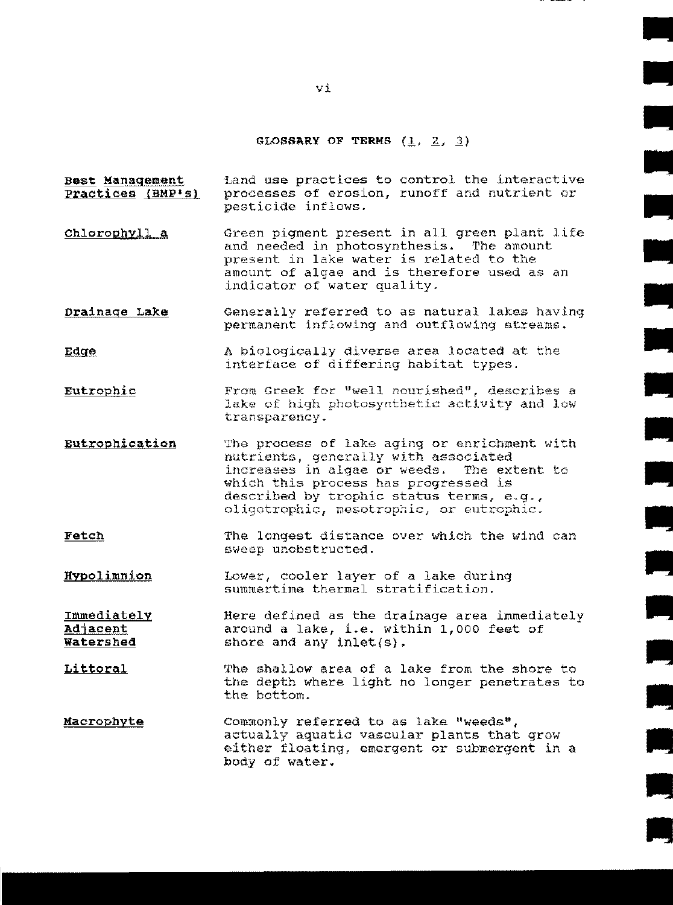#### GLOSSARY OF TERMS  $(1, 2, 3)$

**: اللا**<br>:<br>الات

•

•

•

•

•

•

•

•

•

•

•

•

- Best Management Practices (BMP's) Land use practices to control the interactive processes of erosion, runoff and nutrient or pesticide inflows.
- Chlorophyll a Green pigment present in all green plant life and needed in photosynthesis. The amount present in lake water is related to the amount of algae and is therefore used as an indicator of water quality.
- Drainage Lake Generally referred to as natural lakes having permanent inflowing and outflowing streams.
- Edge A biologically diverse area located at the interface of differing habitat types.
- Eutrophi\_g. From Greek for "well nourished", describes a lake of high photosynthetic activity and low transparency.
- Eutrophication The process of lake aging or enrichment with nutrients, generally with associated increases in algae or weeds. The extent to which this process has progressed is described by trophic status terms, e.g., oligotrophic, nesotrophic, or eutrophic.
- **Fetch** The longest distance over which the wind can sweep uncbstructed.
- Hypolimnion Lower, cooler layer of a lake during summertime thermal stratification.

ImmediatelY **Adjacent** Watershed Here defined as the drainage area immediately around a lake, i.e. within 1,000 feet of shore and any inlet(s).

- Littoral The shallow area of a lake from the shore to the depth where light no longer penetrates to the bottom.
- Macrophyte Commonly referred to as lake "weeds", actually aquatic vascular plants that grow either floating, emergent or submergent in a body of water.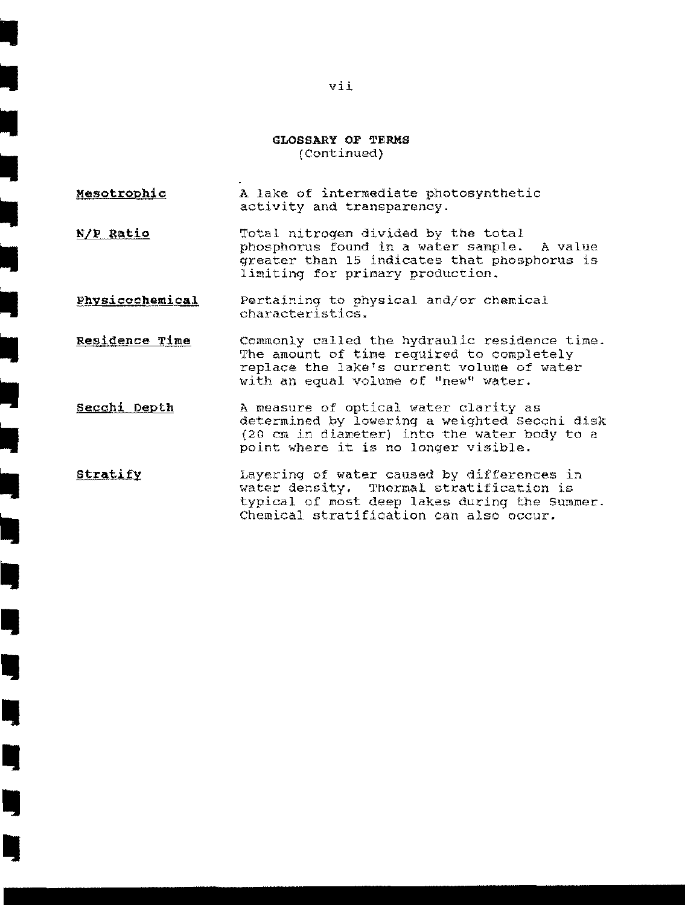#### **GLOSSARY OF TERMS**  (Continued)

**Mesotrophio**  A lake of intermediate photosynthetic activity and transparency.

I

•<br>•<br>•

•<br>•<br>•

•

•

•<br>•<br>•

•<br>•<br>•

•<br>•

–<br>•<br>•

•<br>•<br>•

•<br>•

•<br>•

I

I

I,

I,

I)

I,

**I** 

**N/ll Ratio**  Total nitrogen divided by the total phosphorus found in a water sample. A value greater than 15 indicates that phosphorus is limiting for primary production.

Physicochemical Pertaining to physical and/or chemical characteristics .

- Residence Time Commonly called the hydraulic residence time. The amount of time required to completely replace the lake's current volume of water with an equal volume of "new" water.
- **Secchi Depth**  A measure of optical water clarity as determined by lowering a weighted secchi disk  $(20 \text{ cm in diameter})$  into the water body to a point where it is no longer visible.
- Stratify Layering of water caused by differences in water density. Thermal stratification is typical of most deep lakes during the Summer. Chemical stratification can also occur.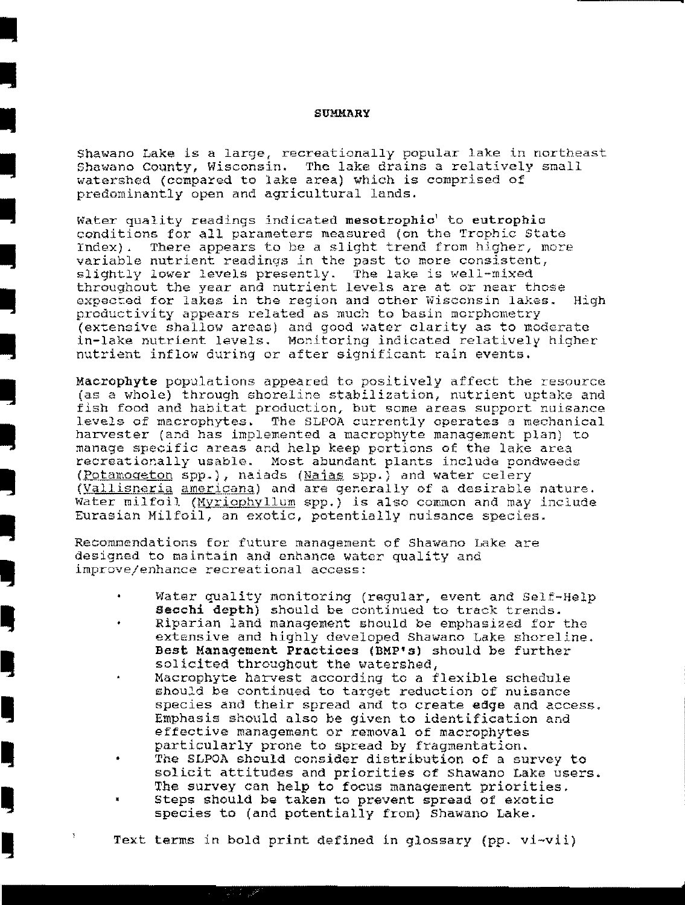#### SUMMARY

I

•<br>•<br>•

•<br>•<br>•

•<br>•<br>•

•<br>•

•<br>•<br>•

•<br>•<br>•

•<br>•<br>•

Ill

<u>I</u>

Ill

I,

**i** 

I,

I,

L,

<u>u</u>

l,

•<br>•<br>•

Shawano Lake is a large, recreationally popular lake in northeast Shawano County, Wisconsin. The lake drains a relatively snall watershed (compared to lake area) which is comprised of predominantly open and agricultural lands .

Water quality readings indicated mesotrophic' to eutrophic conditions for all parameters measured (on the Trophic State Index). There appears to be a slight trend from higher, more variable nutrient readings in the past to more consistent, slightly lower levels presently. The lake is well-mixed throughout the year and nutrient levels are at or near those expected for lakes in the region and other Wisconsin lakes. High productivity appears related as much to basin morphometry (extensive shallow areas) and good water clarity as to moderate in-lake nutrient levels. Monitoring indicated relatively higher nutrient inflow during or after significant rain events.

Macrophyte populations appeared to positively affect the resource (as a whole} through shoreline stabilization, nutrient uptake and fish food and habitat production, but some areas support nuisance levels of macrophytes. The SLPOA currently operates a mechanical harvester (and has implemented a macrophyte management plan) to manage specific areas and help keep portions of the lake area recreationally usable. Most abundant plants include pondweeds (Potamogeton spp.), naiads (Naias spp.) and water celery (Vallisneria americana) and are generally of a desirable nature. Water milfoil (Myriophyllum spp.) is also common and may include Eurasian Milfoil, an exotic, potentially nuisance species.

Recommendations for future management of Shawano Lake are designed to maintain and enhance water quality and improve/enhance recreational access:

- Water quality monitoring (regular, event and Self-Help seochi depth) should be continued to track trends.
- Riparian land management should be emphasized for the extensive and highly developed Shawano Lake shoreline. Best Management Practices (BMP's) should be further solicited throughout the watershed,
- Macrophyte harvest according to a flexible schedule should be continued to target reduction of nuisance species and their spread and to create edge and access. Emphasis should also be given to identification and effective management or removal of macrophytes particularly prone to spread by fragmentation.
- The SLPOA should consider distribution of a survey to solicit attitudes and priorities of Shawano Lake users. The survey can help to focus management priorities. Steps should be taken to prevent spread of exotic
- species to (and potentially fron) shawano Lake .

Text terms in bold print defined in glossary {pp. vi-vii)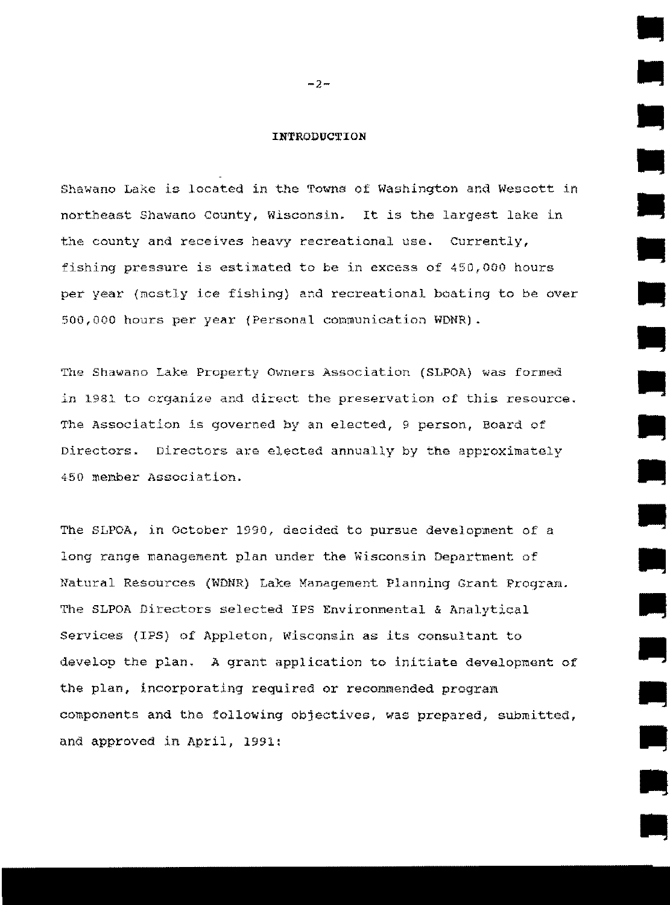#### INTRODUCTION

Shawano Lake is located in the Towns of Washington and Wescott in northeast Shawano County, Wisconsin. It is the largest lake in the county and receives heavy recreational use. Currently, fishing pressure is estimated to be in excess of  $450,000$  hours per year {mcstly ice fishing} and recreational boating to be over 500,000 hours per year (Personal communication WDNR).

The Shawano Lake Property Owners Association (SLPOA) was formed in 1981 to organize and direct the preservation of this resource. The Association is governed by an elected, 9 person, Board of Directors. Directors are elected annually by the approximately 450 member Association.

The SLPOA, in October 1990, decided to pursue development of a long range management plan under the Wisconsin Department of Natural Resources (WDNR) Lake Management Planning Grant Program. The SLPOA Directors selected IPS Environmental & Analytical services (IPS) of Appleton, Wisconsin as its consultant to develop the plan. A grant application to initiate development of the plan, incorporating required or recommended program components and the following objectives, was prepared, submitted, and approved in April, 1991:

 $-2-$ 

•

.<br>•<br>•

•

•

**1** 

•

•

•

•

•

•<br>•<br>•

•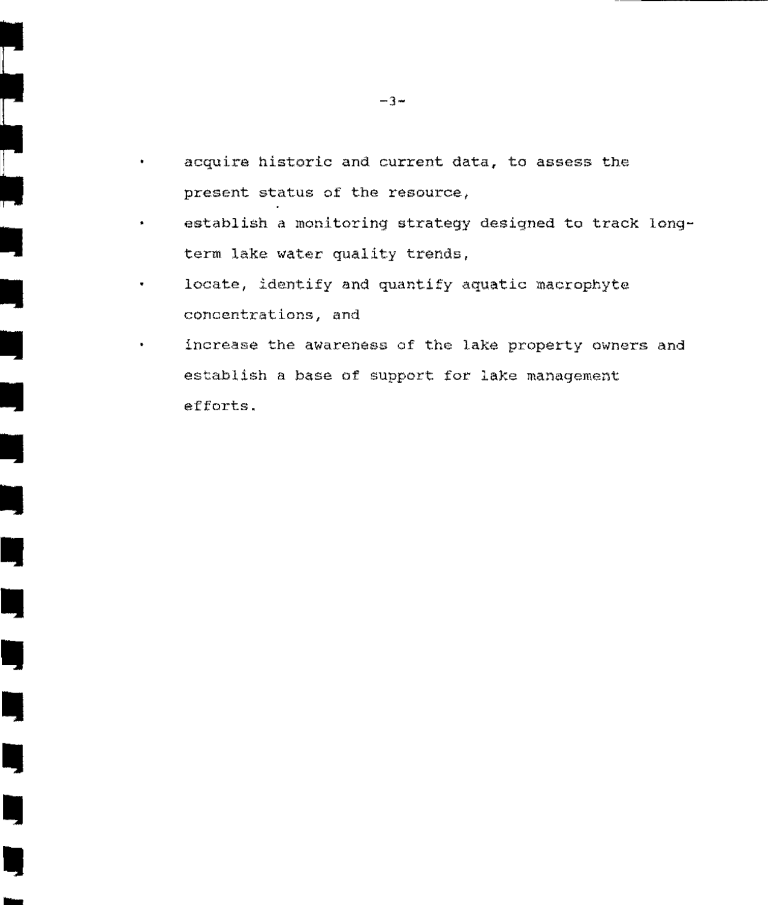- acquire historic and current data, to assess the present status of the resource,
- establish a monitoring strategy designed to track longterm lake water quality trends,
- locate, identify and quantify aquatic macrophyte concentrations, and

•

 $\begin{bmatrix} 1 & 0 & 0 \\ 0 & 1 & 0 \\ 0 & 0 & 0 \\ 0 & 0 & 0 \\ 0 & 0 & 0 \\ 0 & 0 & 0 \\ 0 & 0 & 0 \\ 0 & 0 & 0 \\ 0 & 0 & 0 & 0 \\ 0 & 0 & 0 & 0 \\ 0 & 0 & 0 & 0 \\ 0 & 0 & 0 & 0 \\ 0 & 0 & 0 & 0 & 0 \\ 0 & 0 & 0 & 0 & 0 \\ 0 & 0 & 0 & 0 & 0 \\ 0 & 0 & 0 & 0 & 0 & 0 \\ 0 & 0 & 0 & 0 & 0 & 0 \\ 0 & 0 & 0 & 0 &$ 

•

•

•

•

•<br>•

•

•

IJ

IJ

I)

•<br>•

I)

**.**<br>-

increase the awareness of the lake property owners and establish a base of support for lake management efforts .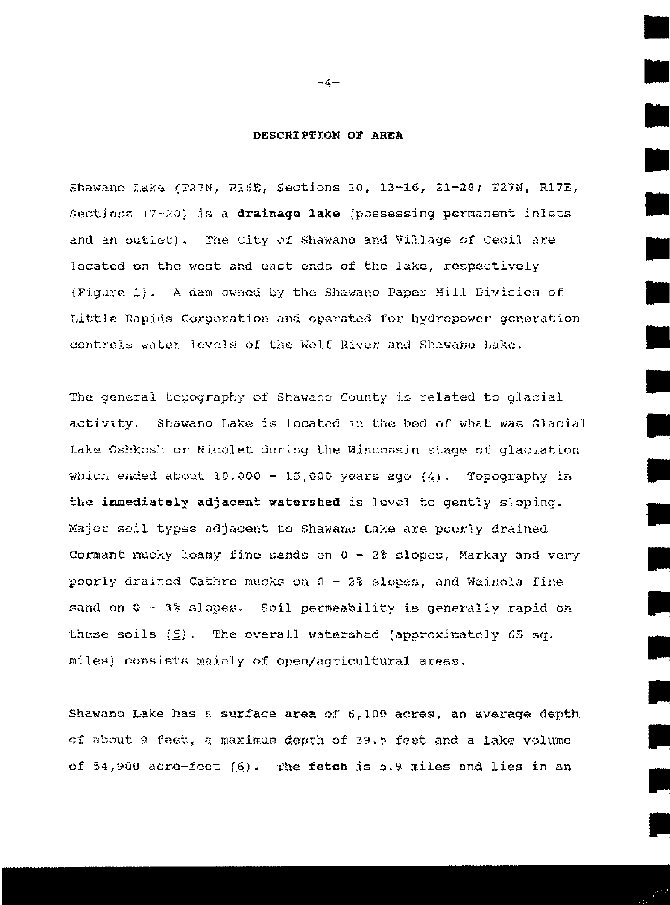#### DESCRIPTION OF AREA

•

•

•

•

•

•

•

•

•

•

•

Shawano Lake (T27N, R16E, Sections 10, 13-16, 21-28; T27N, R17E, Sections 17-20) *is* a **drainaqe lake** {possessing permanent inlets and an outiet). The city of Shawano and Village of cecil are located on the west and east ends of the lake, respectively (Figure **1).** A dam owned by the Shawano Paper Mill Division of Little Rapids Corporation and operated for hydropower generation controls water levels of the Wolf River and Shawano Lake.

The general topography of Shawano County is related to glacial activity. Shawano Lake is located in the bed of what was Glacial Lake Oshkosh or Nicolet during the YJisconsin stage of glaciation which ended about  $10,000 - 15,000$  years ago  $(4)$ . Topography in the **immediately adjacent watershed** is level to gently sloping. Major soil types adjacent to Shawano Lake are poorly drained Cormant mucky loamy fine sands on  $0 - 28$  slopes, Markay and very poorly drained Cathro mucks on  $0 - 2\$  slopes, and Wainola fine sand on  $0 - 3$  slopes. Soil permeability is generally rapid on these soils  $(5)$ . The overall watershed (approximately 65 sq. miles) consists mainly of open/agricultural areas.

Shawano Lake has a surface area of 6,100 acres, an average depth of about 9 feet. a maximum depth of 39.5 feet and a lake volume of 54,900 acre-feet (6). The fetch is 5.9 miles and lies in an

 $-4-$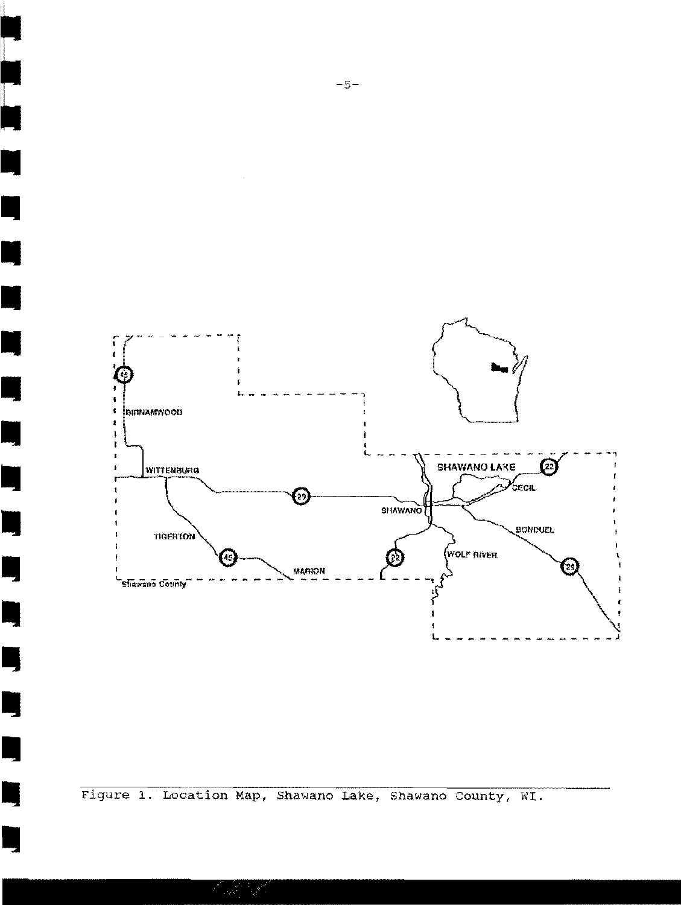

Figure 1. Location Map, Shawano Lake, Shawano County, WI.

**Property** 

Ę

٣

E

н

E

E,

Ŋ

Ę

Ŋ

L

 $\overline{\phantom{a}}$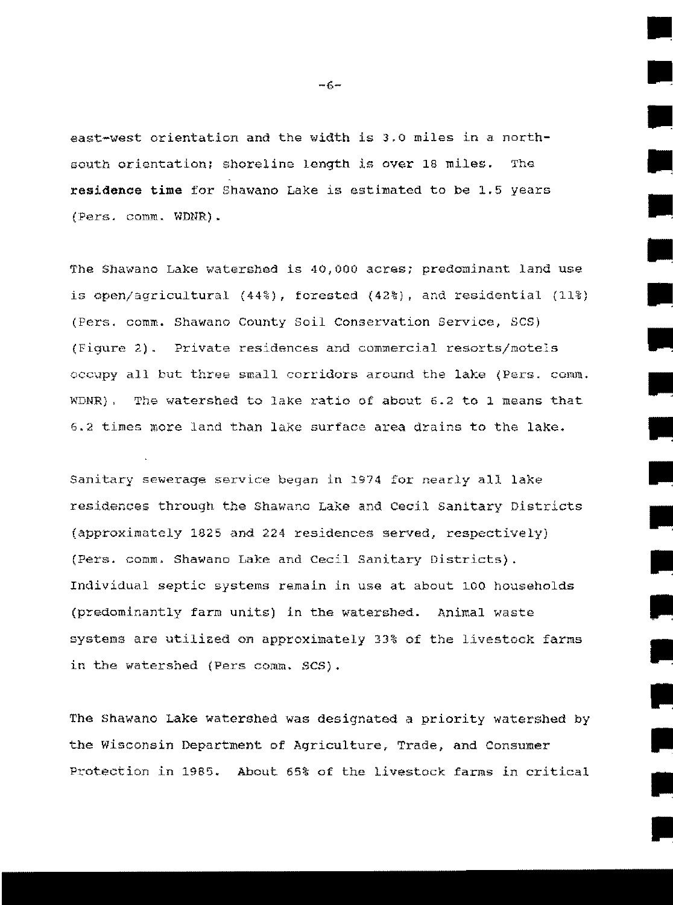east-west orientation and the width is 3.0 miles in a northsouth orientation: shoreline length is over 18 miles. The residence time for Shawano Lake is estimated to be 1.5 years (Pers. comm. WDNR).

The Shawano Lake watershed is 40,000 acres; predominant land use is open/agricultural (44%), forested (42%), and residential (11%) (Pers. comm. Shawano County Soil Conservation Service, SCS) (Figure 2). Private residences and commercial resorts/motels occupy all but three small corridors around the lake (Pers. comm. WDNR). The watershed to lake ratio of about 6.2 to 1 means that 6.2 times more land than lake surface area drains to the lake.

Sanitary sewerage service began in 1974 for nearly all lake residences through the Shawano Lake and Cecil Sanitary Districts (approximately 1825 and 224 residences served, respectively) (Pers. comm. Shawano Lake and Cecil Sanitary Districts). Individual septic systems remain in use at about 100 households (predominantly farm units) in the watershed. Animal waste systems are utilized on approximately 33% of the livestock farms in the watershed (Pers comm. SCS).

The Shawano Lake watershed was designated a priority watershed by the Wisconsin Department of Agriculture, Trade, and Consumer Protection in 1985. About 65% of the livestock farms in critical

 $-6-$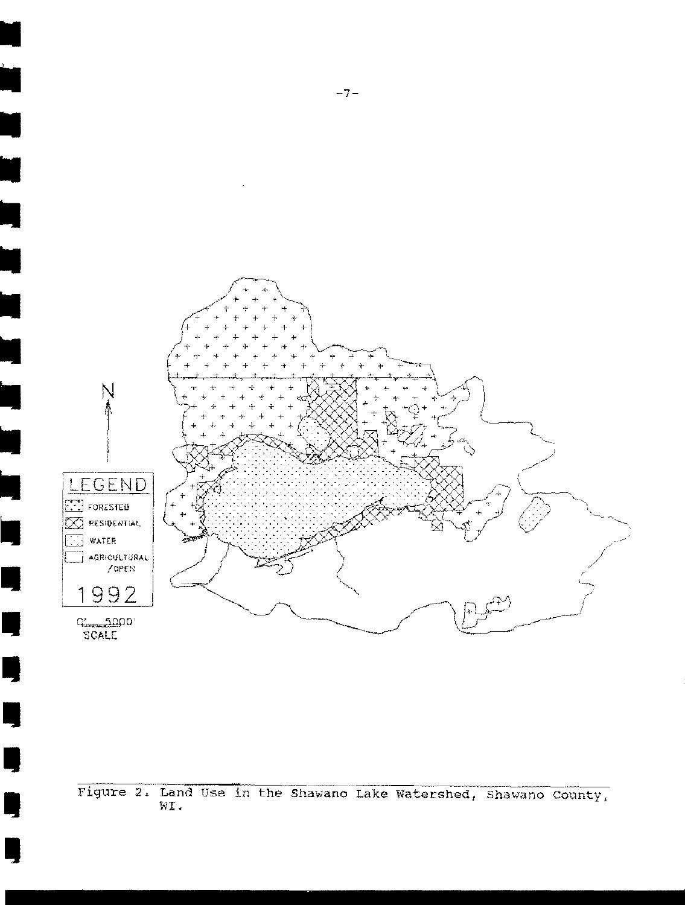

Figure 2. Land Use in the Shawano Lake Watershed, Shawano County, WI.

L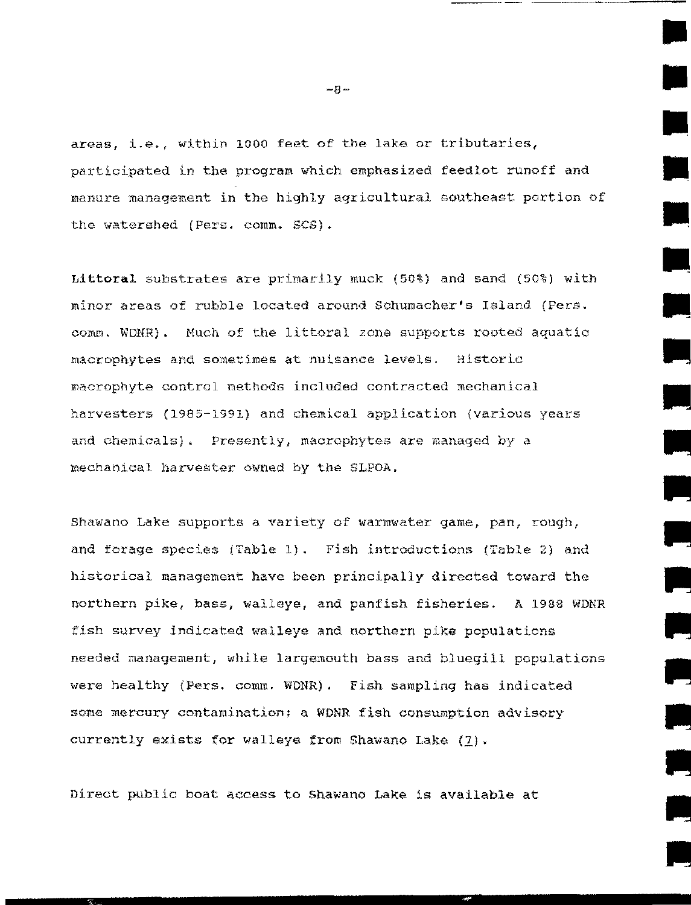areas, i.e., within 1000 feet of the lake or tributaries, participated in the program which emphasized feedlot runoff and manure management in the highly agricultural southeast portion of the watershed (Pers. comm. SCS).

Littoral substrates are prinarily muck (50%) and sand (50%) with minor areas of rubble located around Schumacher's Island (Pers. comm. WDNR). Much of the littoral zone supports rooted aquatic macrophytes and somet:imes at nuisance levels. Historic macrophyte control methods included contracted mechanical harvesters (1985-1991) and chemical application (various years and chemicals). Presently, macrophytes are managed by a mechanical harvester owned by the SLPOA.

Shawano Lake supports a variety of warmwater game, pan, rough, and forage species (Table 1). Fish introductions (Table 2) and historical management have been principally directed toward the northern pike, bass, walleye, and panfish fisheries. A 1988 WDNR fish survey indicated walleye and northern pike populations needed management, while largemouth bass and bluegill populations were healthy {Pers. comm. WDNR) . Fish sampling has indicated some mercury contamination; a WDNR fish consumption advisory currently exists for walleye from Shawano Lake  $(1)$ .

Direct public boat access to Shawano Lake is available at

 $-8-$ 

----- ·--·----··

•

•

•

•

•

•

•

•

Ill

Ill

Ill

•

Ill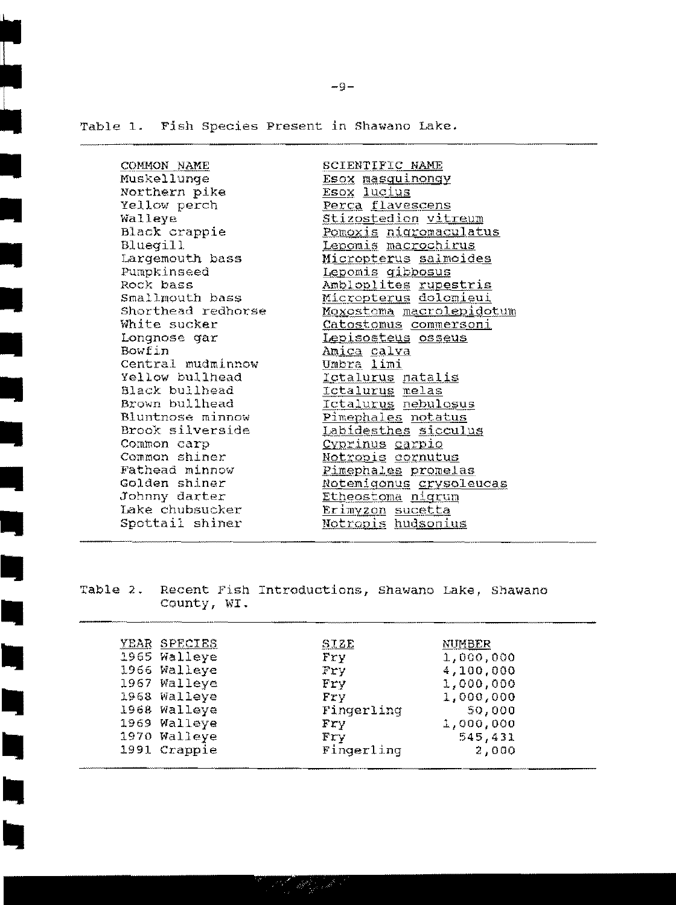Table 1. Fish Species Present in Shawano Lake.

COMMON NAME Muskellunge Northern pike Yellow perch Walleye Black crappie **Bluegill** Largemouth bass Pumpkinseed Rock bass Smallmouth bass Shorthead redhorse White sucker Longnose gar Bowfin Central mudminnow Yellow bullhead Black bullhead Brown bullhead Bluntnose minnow Brook silverside Common carp Common shiner Fathead minnow Golden shiner Johnny darter Lake chubsucker Spottail shiner

SCIENTIFIC NAME Esox masquinongy Esox lucius Perca flavescens Stizostedion vitreum <u>Pomoxis nigromaculatus</u> Lepomis macrochirus Micropterus salmoides Lepomis gibbosus Ambloplites rupestris Micropterus dolomieui <u>Moxostoma macrolepidotum</u> Catostomus commersoni Lepisosteus osseus Amica calva Umbra limi Ictalurus natalis Ictalurug melas <u>Ictalurus nebulosus</u> Pimephales notatus Labidesthes sicculus Cyprinus carpio <u>Notropis cornutus</u> <u>Pimephales promelas</u> Notemigonus crysoleucas Etheostoma nigrum Erimyzon sucetta Notropis hudsonius

Recent Fish Introductions, Shawano Lake, Shawano Table 2. County, WI.

. All providents

| YEAR SPECIES | SIZE            | NUMBER    |
|--------------|-----------------|-----------|
| 1965 Walleye | Fry             | 1,000,000 |
| 1966 Walleye | Fry             | 4,100,000 |
| 1967 Walleye | Fry             | 1,000,000 |
| 1968 Walleye | Fry             | 1,000,000 |
| 1968 Walleye | Fingerling      | 50,000    |
| 1969 Walleye | Fry             | 1,000,000 |
| 1970 Walleye | $\mathbf{F}$ rv | 545,431   |
| 1991 Crappie | Fingerling      | 2,000     |

 $-9-$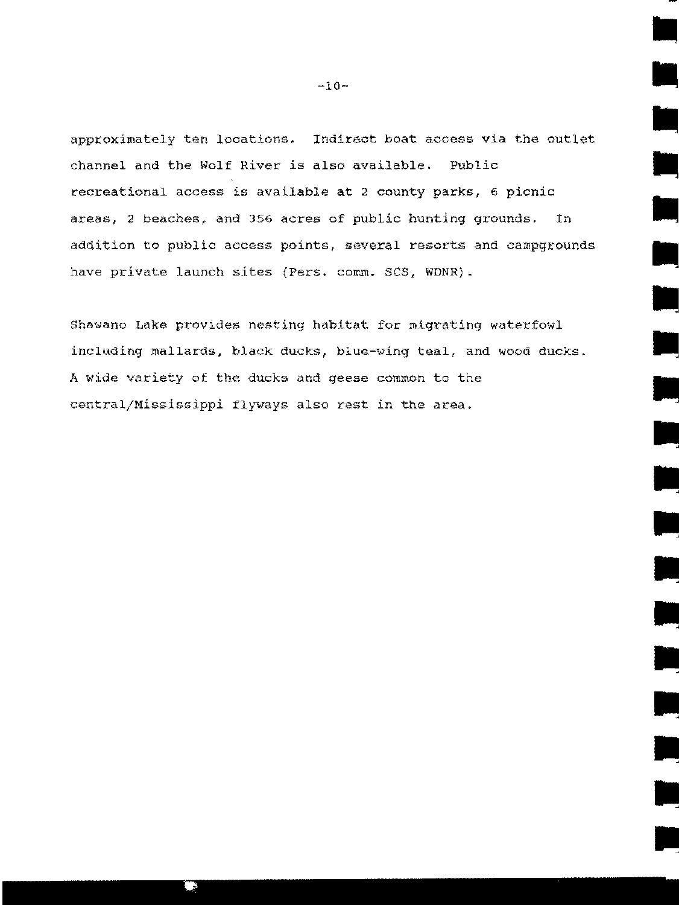approximately ten locations. Indirect boat access via the outlet channel and the Wolf River is also available. Public recreational access is available at 2 county parks, 6 picnic areas, 2 beaches, and 356 acres of public hunting grounds. In addition to public access points, several resorts and campgrounds have private launch sites (Pers. comm. SCS, WDNR).

Shawano Lake provides nesting habitat for migrating waterfowl including mallards, black ducks, biue-wing teal, and wocd ducks. A wide variety of the ducks and geese common to the central/Hississippi flyways also rest in the area.

•

•

 $\mathbf{r}$ 

•

•

، سال<br>بالمالي المالي المالي المالي المالي المالي المالي المالي المالي المالي المالي المالي المالي المالي الما<br>منابع المالي المالي المالي المالي المالي المالي المالي المالي المالي المالي المالي المالي المالي المالي المالي

•

•

•

•

•

•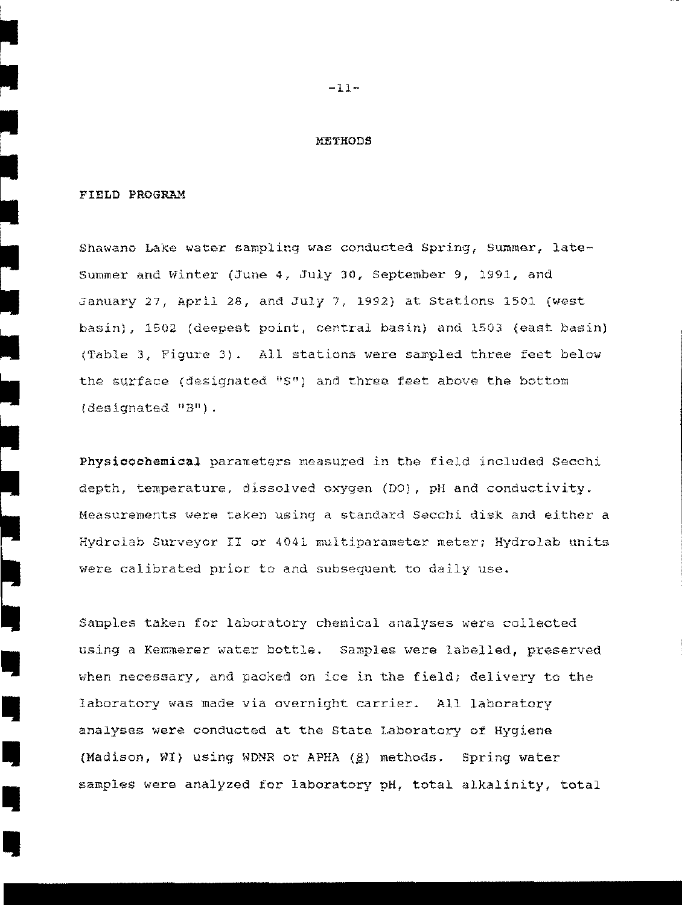#### METHODS

#### FIELD PROGRAM

~

•

•<br>•<br>•

I

I

•<br>•

**II** 

I,

I,

I,

Shawano Lake water sampling was conducted Spring, Summer, late-Sumner and Winter (June 4, July 30, September 9, 1991, and January 27, April 28, and July 7, 1992) at Stations 1501 (west basin), 1502 (deepest point, central basin) and 1503 (east basin) (Table 3, Figure 3). All stations were sampled three feet below the surface (designated  $0.50$ ) and three feet above the bottom (designated "B").

Physicochemical parameters measured in the field included Secchi depth, temperature, dissolved oxygen (DO), pH and conductivity. Measurements were taken using a standard Secchi disk and either a Hydrolab Surveyor II or 4041 multiparameter meter; Hydrolab units were calibrated prior to and subsequent to daily use.

Samples taken for laboratory chemical analyses were collected using a Kemmerer water bottle. Samples were labelled, preserved when necessary, and packed on ice in the field; delivery to the laboratory was made via overnight carrier. All laboratory analyses were conducted at the State Laboratory of Hygiene (Madison, WI) using WDNR or APHA  $(g)$  methods. Spring water samples were analyzed for laboratory pH, total alkalinity, total

 $-11-$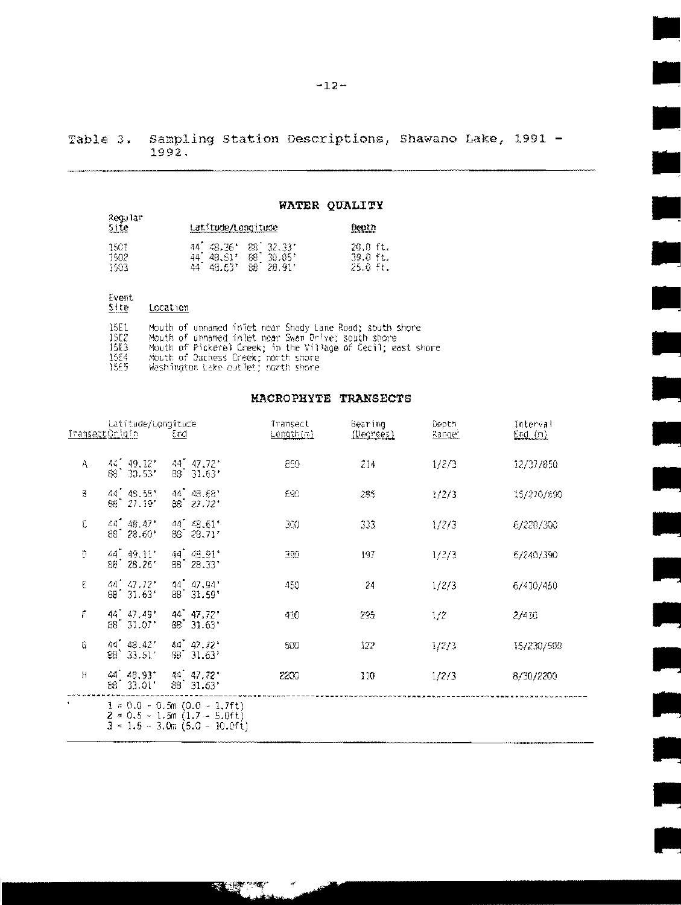Sampling Station Descriptions, Shawano Lake, 1991 -Table 3.  $1992.$ 

#### WATER QUALITY

| Regular<br>5ite | <u>Latitude/Longitude</u>                           | -<br>enth    |
|-----------------|-----------------------------------------------------|--------------|
| 1501            | 48.36<br>88<br>群雄<br>$\frac{1}{2}$ 32.33 $^{\circ}$ | 20.0 ft.     |
| 1502            | 88<br>30.05"<br>48.51'                              | 39.0<br>`ft. |
| 1503            | đã<br>28.91*<br>48.63'<br>88                        | 25.0<br>ft.  |

#### Event<br><u>Site</u> Location

| 15E1      |  | Mouth of unnamed injet near Shady Lane Road: south shore     |  |
|-----------|--|--------------------------------------------------------------|--|
| 15E2      |  | Mouth of unnamed inlet near Swan Drive: south shore          |  |
| ISE3.     |  | Mouth of Pickerel Creek; in the Village of Cecil; east shore |  |
| 1554      |  | Mouth of Quahess Creek; north shore                          |  |
| A 27 / 27 |  |                                                              |  |

1565 Washington Lake outlet; north shore

**REAL PROPERTY** 

#### **MACROPHYTE TRANSECTS**

|                | Latitude/Longitude                                         |                                                                                                          | Transect         | Bearing   | Depth              | Interval   |
|----------------|------------------------------------------------------------|----------------------------------------------------------------------------------------------------------|------------------|-----------|--------------------|------------|
|                | Iransect Origin                                            | €nd                                                                                                      | <u>Length{m}</u> | (Degrees) | Range <sup>1</sup> | End(m)     |
| A              | $44'$ $49.12'$<br>88 30.53                                 | 44 47.72'<br>88 31.63'                                                                                   | 850              | 214       | 1/2/3              | 12/37/850  |
| 8              | 44, 48.58'<br>$88'$ $27.19'$                               | 44 48.68'<br>$88'$ $27.72'$                                                                              | 690              | 285       | 1/2/3              | 15/270/690 |
| C              | $44^{^{\circ}}$ $48.47^{\circ}$<br>$88'$ $28.60'$          | $44'$ $48.61'$<br>$88^{\degree}$ 28,71'                                                                  | 3X)              | 333       | 1/2/3              | 6/220/300  |
| D              | $44^{\degree}$ $49.11^{\degree}$<br>$89^{\circ}$<br>28.26' | $44^{\degree}$ $48.91^{\degree}$<br>$88^{\degree}$ $28.33^{\degree}$                                     | 390              | 197       | 1/2/3              | 6/240/390  |
| E              | $44'$ $47.72'$<br>31.63'<br>88"                            | 44 47.94'<br>88 31.59*                                                                                   | 450              | 24        | 1/2/3              | 6/410/450  |
| ŕ              | $44^{\circ}$ $47.49^{\circ}$<br>$88^{\degree}$ 31,07*      | 44 47.72'<br>$85'$ 31.63 $^{\circ}$                                                                      | 410              | 295       | 1/2                | 2/410      |
| G              | 44 48.42*<br>$88'$ 33.51'                                  | $44^{7}$ $47.72^{+}$<br>$88'$ 31.63'                                                                     | 500              | 122       | 1/2/3              | 15/230/500 |
| Ħ              | $44'$ $48.93'$<br>$88^{\degree}$ 33.01                     | $44 \quad 47.72$<br>$88^{\circ}31.63'$                                                                   | 2200             | 110       | 1/2/3              | 8/30/2200  |
| $\blacksquare$ |                                                            | $1 = 0.0 - 0.5$ m $(0.0 - 1.7$ ft.)<br>$2 = 0.5 - 1.5m(1.7 - 5.0ft)$<br>$3 = 1.5 - 3.0$ m (5.0 - 10.0ft) |                  |           |                    |            |

Ë

 $\blacksquare$ 

 $\ddot{ }$ 

Ź,

t.

3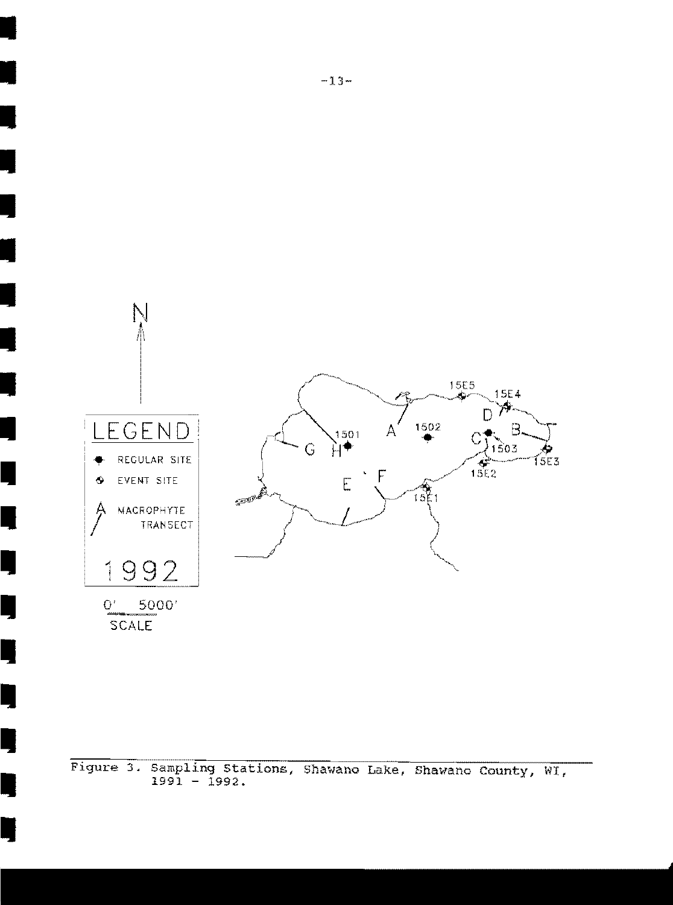

Figure 3. Sampling Stations, Shawano Lake, Shawano County, WI,  $1991 - 1992.$ 

I

I

I

I

I

I

I

I

I

I

I

I

I

•

•

ا<br>•

•<br>•<br>•

•<br>•<br>•

•<br>•<br>•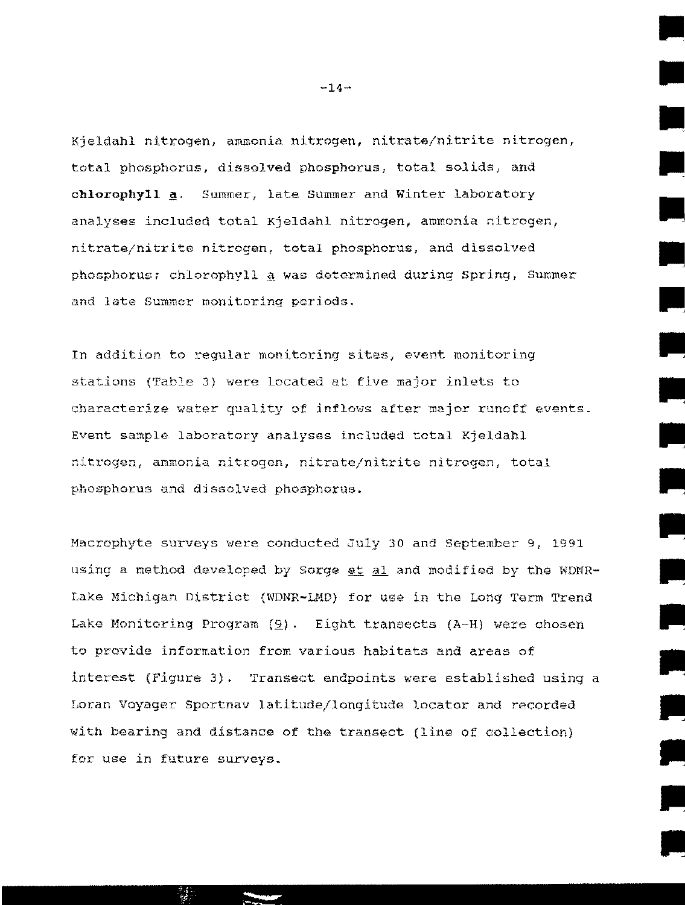Kjeldahl nitrogen, ammonia nitrogen, nitrate/nitrite nitrogen, total phosphorus, dissolved phosphorus, total solids, and chlorophyll **a**. Summer, late Summer and Winter laboratory analyses included total Kjeldahl nitrogen, ammonia nitrogen, nitrate/nitrite nitrogen, total phosphorus, and dissolved phosphorus; chlorophyll  $q$  was determined during Spring, Summer and late Sumner monitoring periods.

In addition to regular monitoring sites, event monitoring stations (Table 3) were located at five major inlets to characterize water quality of inflows after major runoff events. Event sample laboratory analyses included total Kjeldahl nitrogen, ammonia nitrogen, nitrate/nitrite nitrogen, total phosphorus and dissolved phosphorus.

Macrophyte surveys were conducted July 30 and September 9, 1991 using a method developed by Sorge  $et$  al and modified by the WDNR-Lake Michigan District (WDNR-LMD) for use in the Long Term Trend Lake Monitoring Program  $(9)$ . Eight transects (A-H) were chosen to provide information from various habitats and areas of interest (Figure 3). Transect endpoints were established using a Loran voyager Sportnav latitude/longitude locator and recorded with bearing and distance of the transect (line of collection) for use in future surveys.

 $-14-$ 

•

•

•

•

•

..

..

..

..

II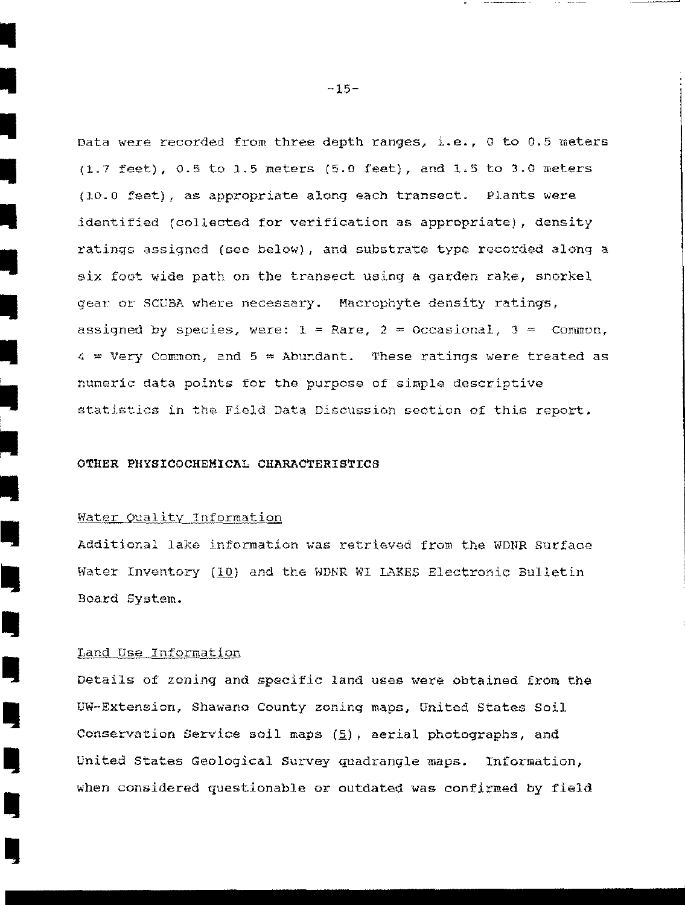Data were recorded from three depth ranges, i.e., 0 to 0.5 meters  $(1.7 \text{ feet})$ , 0.5 to 1.5 meters  $(5.0 \text{ feet})$ , and 1.5 to 3.0 meters (10.0 feet), as appropriate along each transect. Plants were identified (collected for verification as appropriate), density ratings assigned (see below), and substrate type recorded along a six foot wide path on the transect using a garden rake, snorkel gear or SCUBA where necessary. Macrophyte density ratings, assigned by species, were:  $1 =$  Rare,  $2 =$  Occasional,  $3 =$  Common,  $4 =$  Very Common, and  $5 =$  Abundant. These ratings were treated as numeric data points for the purpose of simple descriptive statistics in the Field Data Discussion section of this report.

#### OTHER PHYSICOCHEMICAL CHARACTERISTICS

#### Water Quality Information

•<br>•<br>•

•<br>•<br>•

•<br>•<br>•

•<br>•<br>•

•

•<br>•

•<br>•

•<br>•<br>•

–<br>•<br>•<br>•

•<br>•<br>•

I.

I,

I,

I)

I,

II

I,

I,

ly<br>Separate de la proporta de la proporta de la proporta de la proporta de la proporta de la proporta de la proporta de la proporta de la proporta de la proporta de la proporta de la proporta de la proporta de la proporta

Additional lake information was retrieved from the WDNR Surface Water Inventory (10) and the WDNR WI LAKES Electronic Bulletin Board System.

#### Land Use Information

Details of zoning and specific land uses were obtained from the UW-Extension, Shawano County zoning maps, United States soil Conservation Service soil maps  $(5)$ , aerial photographs, and United States Geological Survey quadrangle maps. Information, when considered questionable or outdated was confirmed by field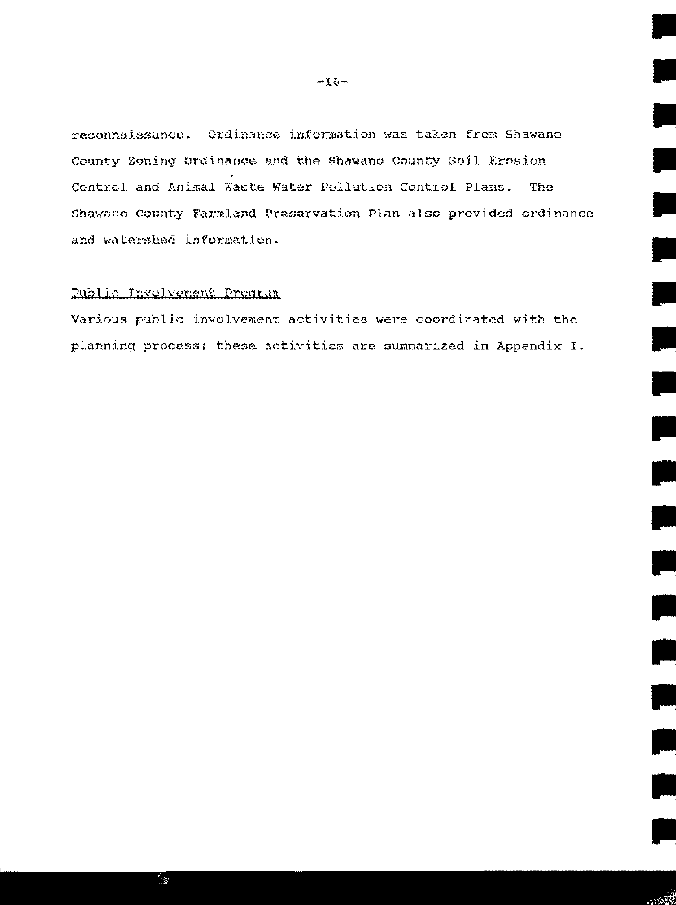reconnaissance. Ordinance information was taken from shawano County Zoning Ordinance and the Shawano County Soil Erosion Control and Animal Waste Water Pollution Control Plans. The Shawano County Farmland Preservation Plan also provided ordinance and watershed information.

#### Public Involvement Program

٣

Various public involvement activities were coordinated with the planning process; these activities are summarized in Appendix I.

 $-16-$ 

•

•

•

•

•

•

II

II

II

•

•

•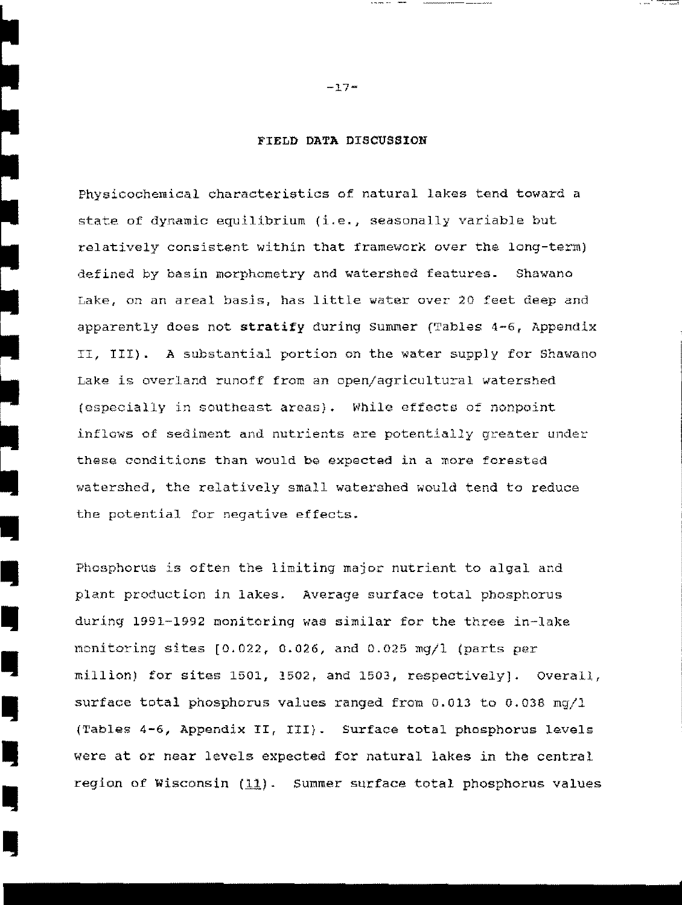#### FIELD DATA DISCUSSION

Physicochemical characteristics of natural lakes tend toward a state of dynamic equilibrium (i.e., seasonally variable but relatively consistent within that framework over the long-term) defined by basin morphometry and watershed features. Shawano Lake, on an areal basis, has little water over 20 feet deep and apparently does not stratify during Summer (Tables 4-6, Appendix II, III). A substantial portion on the water supply for Shawano Lake is overland runoff from an open/agricultural watershed (especially in southeast areas). While effects of nonpoint inflows of sediment and nutrients are potentially greater under these conditions than would be expected in a more forested watershed, the relatively small watershed would tend to reduce the potential for negative effects .

**I** 

~

•<br>•<br>•

•<br>•

I,

I,

**I** 

**II** 

I,

I,

Phosphorus is often the limiting major nutrient to algal and plant production in lakes. Average surface total phosphorus during 1991-1992 nonitoring was similar for the three in-lake monitoring sites  $[0.022, 0.026,$  and  $0.025$  mg/l (parts per  $m111$ ion) for sites 1501, 1502, and 1503, respectively]. Overall, surface total phosphorus values ranged from 0.013 to 0.038 mg/1 {'rables 4-6, Appendix II, III}. Surface total phosphorus levels were at or near levels expected for natural lakes in the central region of Wisconsin (11). Summer surface total phosphorus values

 $-17-$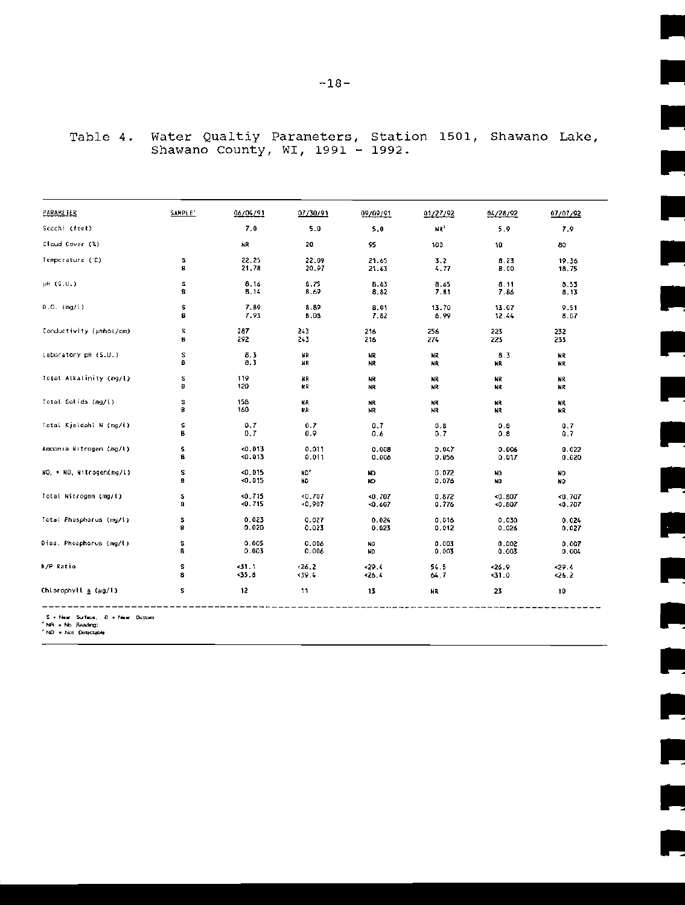| PARAMETER                                | SAMPLE' | 06/04/91    | 07/30/91 | 09/09/91 | 01/27/92        | 04/28/92 | 07/07/92 |
|------------------------------------------|---------|-------------|----------|----------|-----------------|----------|----------|
| Secchi (fect)                            |         | 7.0         | 5.0      | 5.0      | HR <sup>1</sup> | 5.9      | 7.9      |
| Cloud Cover (%)                          |         | NR          | 20       | 95       | 100             | 10       | 80       |
| Temperature (C)                          | s       | 22.25       | 22.09    | 21.65    | 3.2             | 8.23     | 19.36    |
|                                          | 8       | 21,78       | 20.97    | 21.63    | 4.77            | 8.00     | 18.75    |
| pH (S.U.)                                | s       | 8.16        | 8.75     | 8.83     | 8.65            | 8.11     | 8.53     |
|                                          | B       | <b>B.14</b> | 8.69     | 8.82     | 7.81            | 7.86     | 8.13     |
| $0.0.$ (mg/l)                            | s       | 7.89        | 8.89     | 8.01     | 13.70           | 13.07    | 9.51     |
|                                          | B       | 7.93        | 8,08     | 7.82     | 6.99            | 12.44    | 8.07     |
| Conductivity (unhos/cm)                  | 5       | 287         | 243      | 216      | 256             | 223      | 232      |
|                                          | ß       | 292         | 243      | 216      | 274             | 223      | 233      |
| Laboratory pH (S.U.)                     | г       | 8.3         | HR.      | HR.      | NR.             | 8.3      | NR       |
|                                          | B       | 8.3         | НR       | NR.      | NR              | NR       | NR       |
| Total Alkalinity (mg/l)                  | s       | 119         | НR       | NR.      | NR              | ИR       | NR       |
|                                          | B       | 120         | кR       | NR       | NR              | NR.      | HR.      |
| Total Solids (mg/l)                      | s       | 158         | нR       | NR       | NR              | NR       | ИR       |
|                                          | B       | 160         | КR       | NR       | HR.             | NR       | NR       |
| Total Kjeldahl N (mg/l)                  | s       | 0.7         | 0.7      | 0.7      | 0.8             | 0.8      | 0.7      |
|                                          | В       | 0.7         | 0.9      | 0.6      | 0.7             | 0.8      | 0.7      |
| Ammonia Nitrogen (mg/l)                  | s       | 0.013       | 0.011    | 0.008    | 0.047           | 0.006    | 0.022    |
|                                          | B       | 0.013       | 0.011    | 0.006    | 0.056           | 0.017    | 0.020    |
| NO, + NO, Nitrogen(mg/l)                 | s       | < 0.015     | ND,      | ND.      | 0.072           | ND       | ND       |
|                                          | B.      | 0.015       | ND       | ND.      | 0.076           | ND       | ND       |
| Total Nitrogen (mg/l)                    | s       | 0.715       | 0.707    | $-0.707$ | 0.872           | $-0.807$ | <0.707   |
|                                          | в       | < 0.715     | $-0.907$ | < 0.607  | 0.776           | < 0.807  | <0.707   |
| Total Phosphorus (mg/1)                  | s       | 0.023       | 0.027    | 0,024    | 0.016           | 0.030    | 0.024    |
|                                          | B       | 0,020       | 0.023    | 0.023    | 0.012           | 0.026    | 0.027    |
| Diss. Phosphorus (mg/l)                  | s       | 0.005       | 0.006    | ND       | 0.003           | 0.002    | 0.007    |
|                                          | B       | 0.003       | 0.006    | ND       | 0.003           | 0.003    | 0.004    |
| N/P Ratio                                | s       | <31.1       | $-26.2$  | 29.4     | 54.5            | $-26.9$  | 29.4     |
|                                          | 8       | 35.8        | 39.4     | 326.4    | 64.7            | <31.0    | <26.2    |
| Chlorophyll $\underline{a}$ ( $\mu$ g/l) | s       | 12          | -11      | 13       | <b>NR</b>       | 23       | 10       |

## Water Qualtiy Parameters, Station 1501, Shawano Lake, Shawano County, WI, 1991 - 1992. Table 4.

E.

E

Ξ

Ţ.

À

R

 $\mathbf{L}$ 

e.

Ξ

 $\overline{\phantom{0}}$ 

S + Near Surface, 8 = Near Bottom<br>"NR = No Reading;<br>"ND = Not Delectable

----------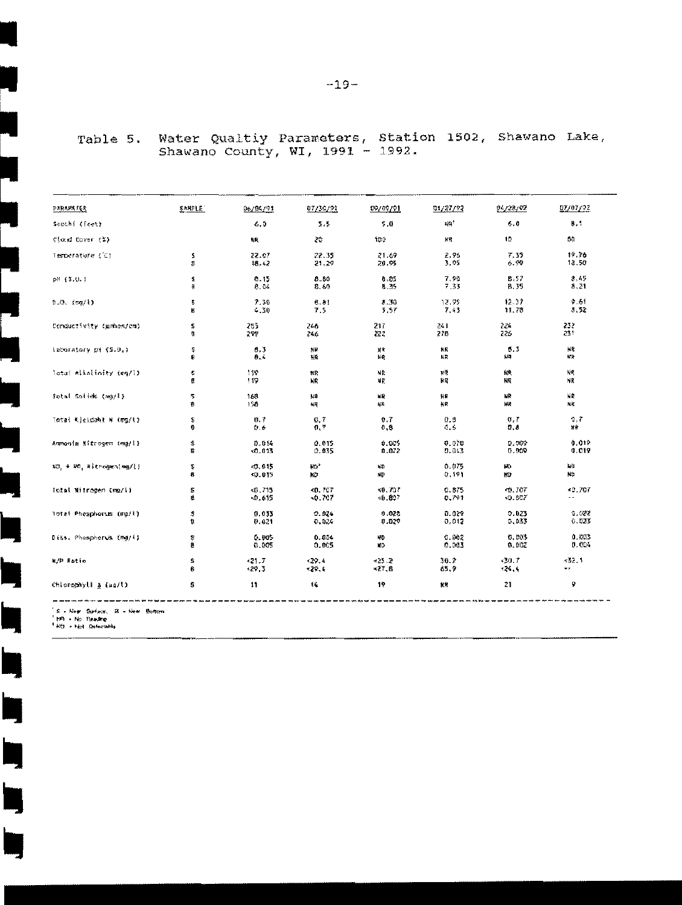| <b>PARAMETER</b>         | SAMPLE" | 06/04/91 | 07/30/93       | 09/09/91 | 01/27/92 | 94728792     | 07/07/92 |
|--------------------------|---------|----------|----------------|----------|----------|--------------|----------|
| Secchi (Teet)            |         | $-5.5$   | 5,5            | 5.0      | 封発*      | 6.0          | B.1      |
| ¢{ækd Dover (‰)          |         | 4R       | Ż¢.            | 100      | WЯ       | 10.          | 80       |
| Temperature (C)          | \$      | 22.07    | 22.35          | 21.69    | 2.95     | 7.35         | 19.76    |
|                          | \$      | 18.42    | 21,29          | 20.95    | 3.95     | 6,99         | 18.50    |
| p8 (\$.U.)               | \$      | 8.15     | $B - B0$       | 8.85     | 7.90     | 8.57         | 8.45     |
|                          | 蓬       | 8.04     | 8.60           | 8.35     | 7.33     | B.35         | 8,21     |
| 0.0.194(1)               | 5       | 7.30     | 8.81           | 5.30     | 12.95    | 12.37        | 9.51     |
|                          | в       | $-30$    | 7.5            | 5.57     | 7.43     | 11.78        | 8.52     |
| Conductivity (gehos/cm)  | 2       | 285      | 246            | 217      | 241      | 224          | 232      |
|                          | 籦       | 299      | 246            | æz       | 278      | 226          | 231      |
| Laboratory pH (S.M.)     | Ş       | 6.3      | 維新             | 賀賀       | NR       | 5.3          | 純度       |
|                          | ₿       | 8.4      | 辍              | 上段       | NR       | UJ.          | 解決       |
| latal Alkalinity (mg/l)  | \$      | 封垫       | ĦΡ             | NR       | ₩Ř       | 鍬            | NR,      |
|                          | g       | 119      | NR             | МĶ       | 穀産       | 利度           | ΝŘ       |
| fotal Solids (mg/l)      | 5       | 168      | 課              | 縦        | 抖度       | нR           | 減業       |
|                          | 發       | 158.     | 純異             | 辰珍       | HR.      | 静え           | 飛籠       |
| Total Kjeldahl N (mg/l)  | S       | ₩.7      | Đ.7            | 0.7      | 0.S      | a.t          | 0,7      |
|                          | Ũ       | 狂妄       | 0,7            | 0,8      | 0.6      | ₫.ē          | 雑食       |
| Anmonia Mitrogen (mg/l}  | \$      | D.DI4    | 0.015          | 0.005    | 0.070    | 0.000        | 0.019    |
|                          | ₿       | 0.013    | 0.035          | 0.072    | 9.843    | 0.009        | 0.019    |
| NO. 9 RO. Hitrogenima/1) | \$      | $-0.015$ | КO,            | ND.      | 0.075    | HO           | 鞍缝       |
|                          | 8       | 49.015   | жð             | кD       | 5.191    | KD.          | NО       |
| fotal Witrogen (mg/l)    | ₿       | <0.715   | ≺0.707         | ×0.707   | 0.875    | 49.707       | ≤0.707   |
|                          | 藍       | 40.615   | <0.707         | *0.807   | 0.791    | $*0.507$     |          |
| lotat Phosphorus (mp/l)  | \$      | 0.033    | 0.924          | 0.028    | 0.029    | 0.023        | 0.022    |
|                          | ū       | 0.021    | 0.026          | U.U??    | 0,012    | 0,033        | 6.023    |
| Dišš. Phospherus (mg/ij  | \$      | 0.005    | 0.604          | ND.      | 0.002    | D.DOS        | 0.083    |
|                          | ₿       | 0.005    | 0,005          | KD.      | 6,003    | <b>9.00Z</b> | 0.004    |
| M/P Ratio                | 5       | $-21.7$  | 429.4          | $-25.2$  | 30.2     | $*30.7$      | 432.1    |
|                          | 8       | $-20.3$  | *29.4          | ×77.6    | 65.9     | $+26.4$      | ۰,       |
| Chiorophyll & (µg/l)     | s       | 11       | $\mathfrak{t}$ | 19       | 試票       | 21           | ę        |

# Table 5. Water Qualtiy Parameters, Station 1502, Shawano Lake,<br>Shawano County, WI, 1991 - 1992.

'S = Near Seriace, 'B = Near Bottom<br>" Mi = No Tenuting<br>" Mi = Not Detectably

 $\overline{\phantom{a}}$ 

 $\overline{\phantom{a}}$ 

 $\Box$ 

**in** 

Ľ

**II** 

L,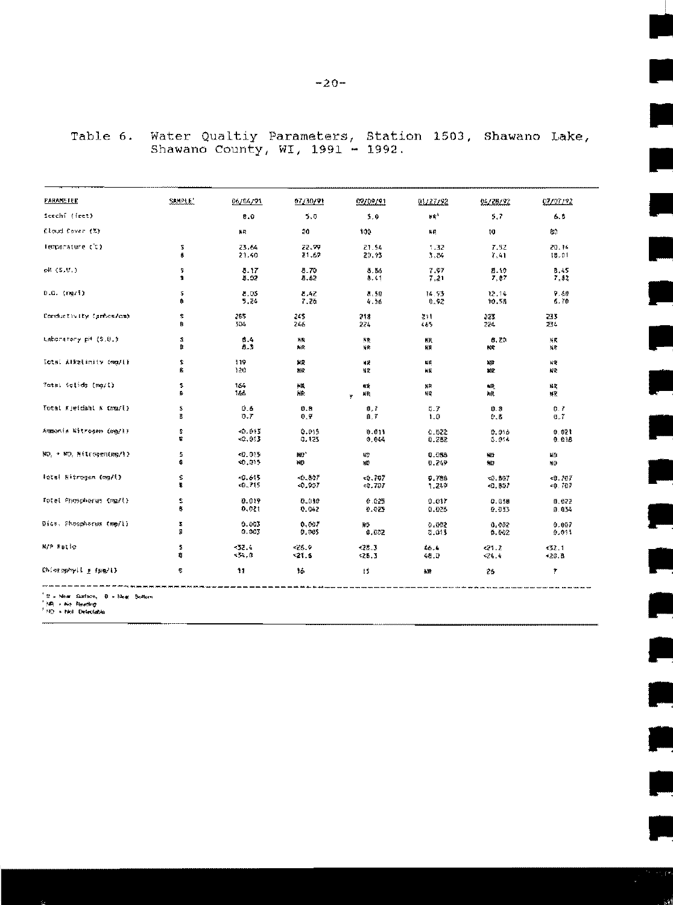| SAMPLE' |            |                                |                                |                                 |                                 | 07/97/92                      |
|---------|------------|--------------------------------|--------------------------------|---------------------------------|---------------------------------|-------------------------------|
|         |            |                                |                                |                                 |                                 | 6.5                           |
|         |            |                                |                                |                                 |                                 |                               |
|         |            |                                |                                |                                 |                                 | ģ0                            |
| s       | 23.64      | 22.99                          | 21.54                          | 1.32                            | 7.52                            | 20.14                         |
| ā       | 21.40      | 21.69                          | 20.93                          | 3.84                            | 7,41                            | 18.01                         |
| s       | 8.17       | 8.70                           | 8.86                           | 7.97                            | 8.10                            | 8.45                          |
|         |            |                                |                                |                                 |                                 | 7,52                          |
| s       | 8.03       | 8.42                           | 8.50                           | 14.93                           | 12.14                           | 9.80                          |
| 8       | 5.24       | 7.26                           | 4.56                           | 0.92                            | 10.58                           | 6.70                          |
| \$      | 285        | 248.                           | 218                            | 21                              | 223.                            | 233.                          |
| B       | 534        | 246                            | 224                            | くるう                             | 224                             | 234                           |
| Z.      | 8.4        | ¥R                             | 聚聚                             | 概                               | 8.20                            | 補闕                            |
| я       | 8.3        | 點段                             | 封隐                             | 緩                               | 长奖                              | 擬常                            |
| s       | 119        | 異義                             | 裸菌                             | 疑義                              | 離                               | 候度                            |
| ŧ.      | 120        | 胜段                             | 質度                             | 踩                               | 誠愛                              | 荷蘭                            |
| z.<br>B | 164<br>166 | NK.<br>謙                       | ИŔ<br>凝聚<br>¥                  | 解発<br>腱                         | 雌菱<br>解釈                        | 秘波<br>製家                      |
| \$.     | 0.6        | ₿.₿                            | ₿,7                            | <b>B.7</b>                      | ₿.₿                             | O. Z                          |
| п       | 0.7        | ₿.ÿ                            | 自、学                            | 主尊                              | ₿.\$                            | €.7                           |
| s.      | <0.015     | 0.015                          | 0.011                          | 0.022                           | 0.016                           | 0.021                         |
| \$      | $-0.013$   | 0.125                          | 0.044                          | 0.282                           | 5.014                           | 0.015                         |
| s       | <0.015     | 細*                             | 紹                              | 9.088                           | 辍                               | 糊涂                            |
| s.      | 40,015     | NG                             | 繼                              | 0.249                           | 锥                               | XO                            |
| s       | <0.615     | 40.80F                         | 50.707                         | 9.788                           | <b>40. 数字</b>                   | ≺8.707                        |
| B       | 40.715     | -0.907                         | 40.707                         | 1.249                           | 40.807                          | ×0.707                        |
| г       | 0.019      | 0.030                          | 0.025                          | 9.017                           | 0.038                           | #.祭?                          |
| 募       | 0,021      | 0.042                          | 0.025                          | 0.026                           | 0.033                           | 0.034                         |
| z       | 9.003      | 0.007                          | ИŐ                             | 0.002                           | 0.002                           | 0.007                         |
| ğ.      | 0.003      | 9.00\$                         | 0.052                          | 0.013                           | 0.002                           | 0.011                         |
| ŝ       | $-32.4$    | $-25.9$                        | $-28.3$                        | 46.4                            | $-21.2$                         | 432.1                         |
| 蘳       | -34,0      | $-21.6$                        | < 28.3                         | 48.0                            | 426.6                           | *20.8                         |
| 5       | 11         | 转                              | ŦŚ                             | 裁算                              | 26                              | Ŧ                             |
|         | я          | 06/04/91<br>8.0<br>NR.<br>8.02 | 07/30/91<br>5.0<br>20.<br>8.62 | 02/09/91<br>5.0<br>100.<br>8.61 | 01/27/92<br>$W^4$<br>₩Ŗ<br>7.21 | 94/28/92<br>5.7<br>ţQ<br>7,87 |

## Water Qualtiy Parameters, Station 1503, Shawano Lake, Shawano County, WI, 1991 - 1992. Table 6.

e.

P

ŗ.

e<br>S

 $\mathbf{r}$ 

gin<br>J

**.** 

t  $\overline{a}$ 

e<br>E

the control

<sup>1</sup> El x Next Sustace, 18 x Bluet Boltom<br><sup>1</sup> MP, *+* No Beechop<br><sup>1</sup> MP + Not Delectable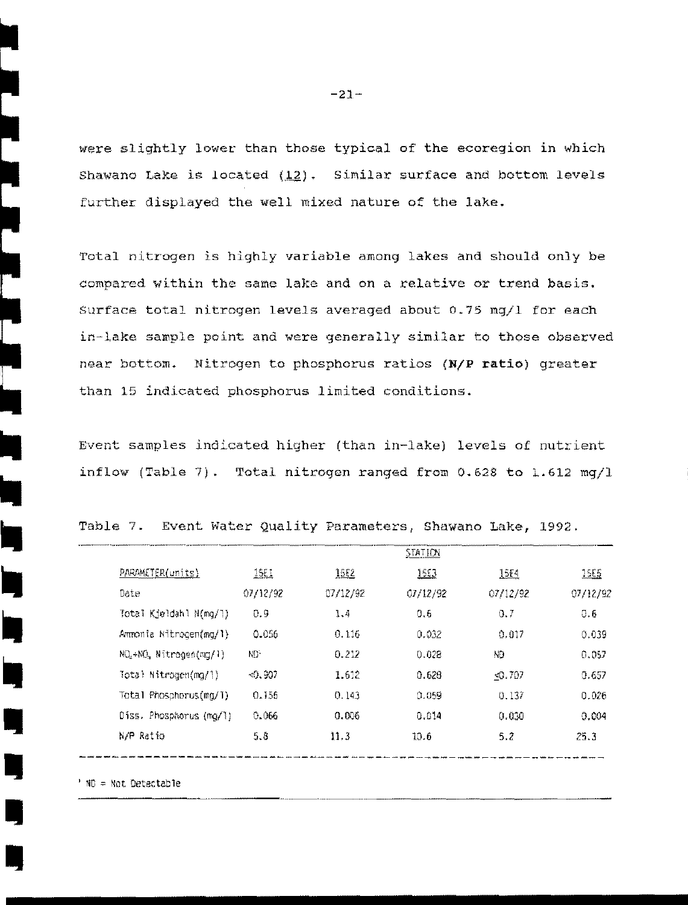were slightly lower than those typical of the ecoregion in which Shawano Lake is located  $(12)$ . Similar surface and bottom levels further displayed the well mixed nature of the lake.

Total nitrogen is highly variable among lakes and should only be compared within the same lake and on a relative or trend basis. Surface total nitrogen levels averaged about 0.75 mg/l for each in-lake sample point and were generally similar to those observed near bottom. Nitrogen to phosphorus ratios (N/P ratio) greater than 15 indicated phosphorus limited conditions.

Event samples indicated higher (than in-lake) levels of nutrient inflow (Table 7). Total nitrogen ranged from 0.628 to 1.612 mq/l

|                                                 |              |             | <b>STATION</b> |          |          |
|-------------------------------------------------|--------------|-------------|----------------|----------|----------|
| PARAMETER(units)                                | <u> 15EI</u> | <u>15E2</u> | <u> 1553 </u>  | 15F4     | 1555     |
| Date                                            | 07/12/92     | 07/12/92    | 01/12/92       | 07/12/92 | 07/12/92 |
| Total Kjeldahl N(mg/l)                          | 0.9          | 1.4         | 0.6            | 0.7      | 0.6      |
| Ammonia Nitrogen(mg/1)                          | 0.056        | 0.116       | 0.032          | 0.017    | 0.039    |
| NO <sub>2</sub> +NO <sub>2</sub> Nitrogen(mg/1) | ND.          | 0.212       | 0.028          | ND.      | 0.057    |
| Total Nitrogen(mg/1)                            | < 0.907      | 1.612       | 0.628          | $-0.707$ | 0.657    |
| Total Phosphorus(mg/1)                          | 0.156        | 0.143       | 0.059          | 0.137    | 0.026    |
| $Diss.$ Phosphorus $(mq/1)$                     | 0.066        | 0.006       | 0.014          | 0.030    | 0.004    |
| N/P Ratio                                       | 5.8          | 11.3        | 10.6           | 5.2      | 25.3     |
|                                                 |              |             |                |          |          |

Table 7. Event Water Quality Parameters, Shawano Lake, 1992.

' NO = Not Detectable

 $-21-$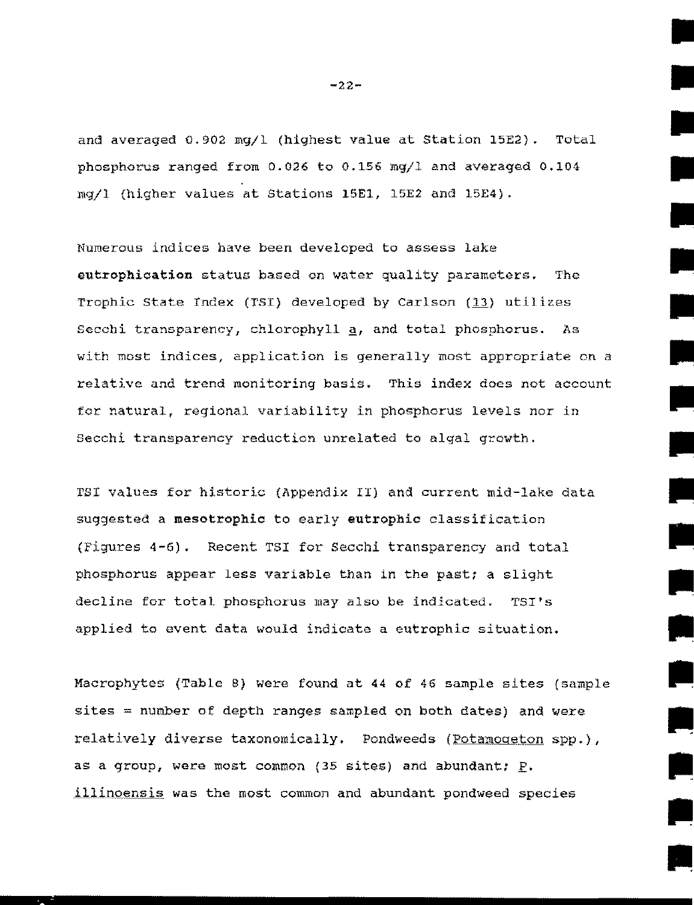and averaged 0.902 mg/1 (highest value at Station 15E2). Total phosphorus ranged from 0.026 to 0.156 mg/1 and averaged 0.104 mgjl {higher values at Stations 15El, 15E2 and 15E4).

Numerous indices have been developed to assess lake eutrophication status based en water quality parameters. The Trophic State Index (TSI) developed by Carlson  $(13)$  utilizes Secchi transparency, chlorophyll  $a$ , and total phosphorus. As with most indices, application is generally most appropriate on a relative and trend monitoring basis. This index does not account for natural, regional variability in phosphorus levels nor in Secchi transparency reduction unrelated to algal growth.

PSI values for historic (Appendix II) and current mid-lake data suggested a mesotrophic to early eutrophic classification {Figures 4-6) . Recent TSI for Secchi transparency and total phosphorus appear less variable than in the past; a slight decline for total phosphorus may also be indicated. TSI's applied to event data would indicate a eutrophic situation.

Macrophytes {Table B) were found at 44 of 46 sample sites (sample sites = number of depth ranges sampled on both dates) and were relatively diverse taxonomically. Pondweeds (Potamogeton spp.), as a group, were most common (35 sites) and abundant;  $\underline{P}$ . illinoensis was the most common and abundant pondweed species

 $-22-$ 

•

•

•

•

•

•

•

•

•

•

•

•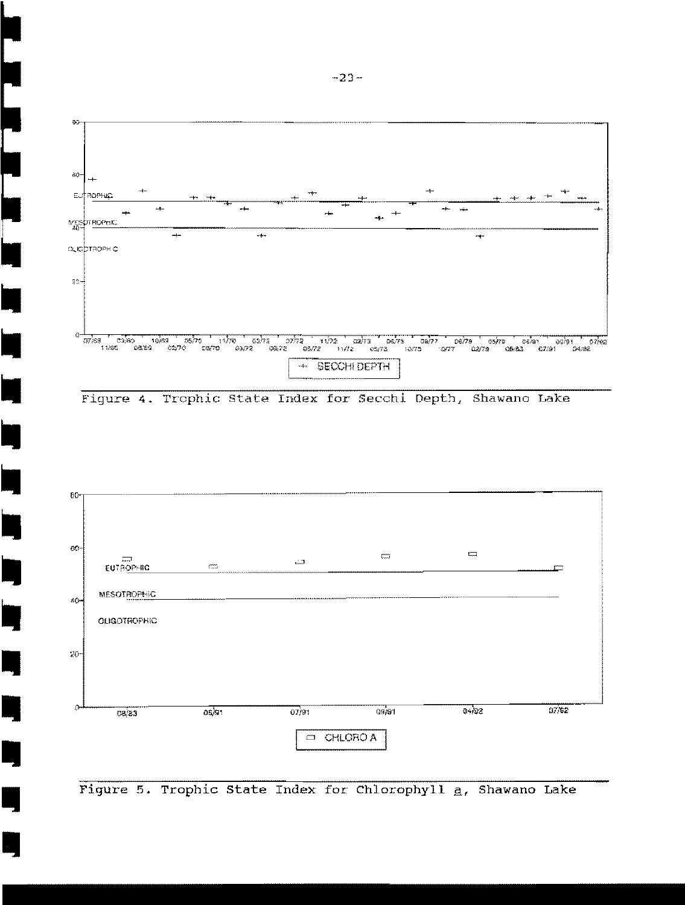

Figure 4. Trophic State Index for Secchi Depth, Shawano Lake



Figure 5. Trophic State Index for Chlorophyll a, Shawano Lake

ī

▌<br>▕▕▏▕▕▏▕▕▏▕▏▕▏▕▏▕▏▏▏▏▏▏▏▏▏▏▏<br>▕▏▏

|<br>|<br>| I

i<br>Li

 $\blacksquare$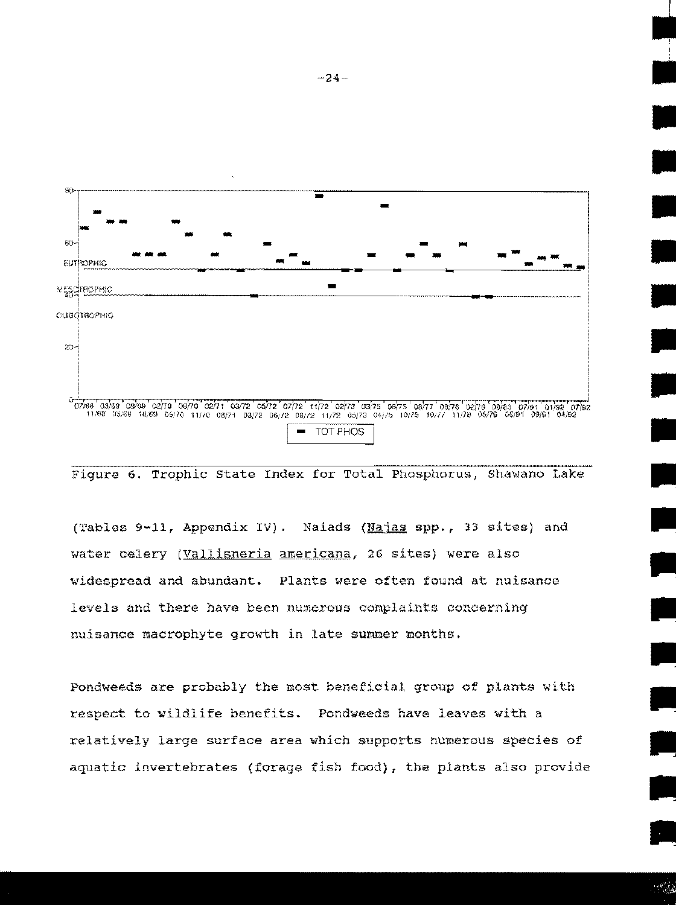

Figure 6. Trophic State Index for Total Phosphorus, Shawano Lake

(Tables 9-11, Appendix IV). Naiads (Najas spp., 33 sites) and water celery (Vallisneria americana, 26 sites) were also widespread and abundant. Plants were often found at nuisance levels and there have been numerous complaints concerning nuisance macrophyte growth in late summer months.

Pondweeds are probably the most beneficial group of plants with respect to wildlife benefits. Pondweeds have leaves with a relatively large surface area which supports numerous species of aquatic invertebrates (forage fish food), the plants also provide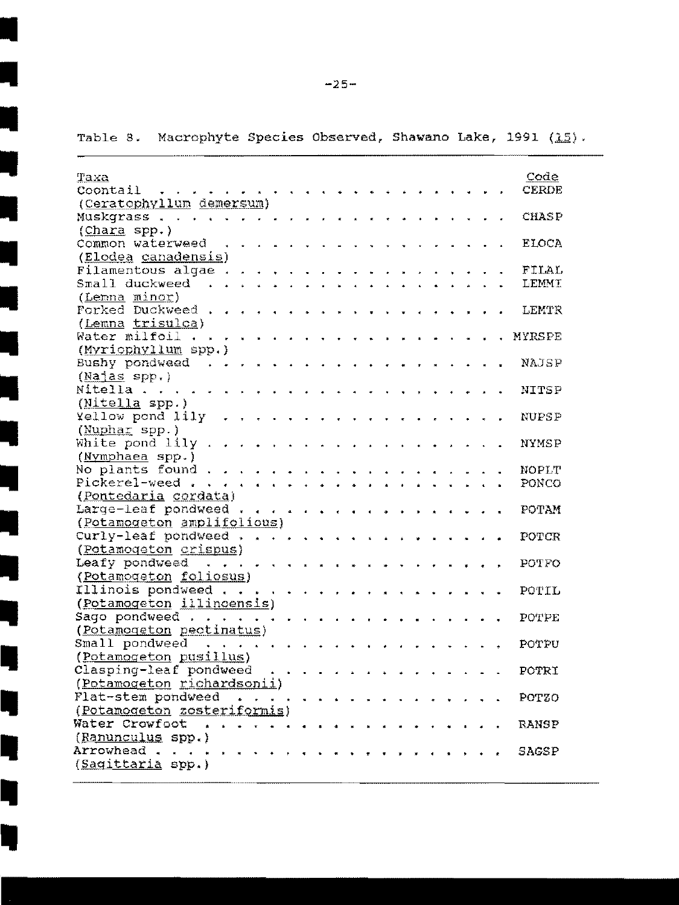| Taxa                                    | Code          |
|-----------------------------------------|---------------|
| Coontail                                | CERDE         |
| (Ceratophyllum demersum)                |               |
| Muskgrass                               | CHASP         |
| $(Chara$ spp.)                          |               |
| Common waterweed                        | <b>ELOCA</b>  |
| (Elodea canadensis)                     |               |
| Filamentous algae.                      | FILAL         |
| Small duckweed                          | LEMMI         |
| (Lemna minor)                           |               |
| Forked Duckweed.                        | LEMTR         |
| (Lemna trisulca)                        |               |
| Water milfoil                           | <b>MYRSPE</b> |
| (Myriophyllum spp.)                     |               |
| Bushy pondweed                          | NAJSP         |
| $(Najas$ spp.)<br>Nitella               |               |
|                                         | NITSP         |
| $(Mitel)a$ spp.)<br>Yellow pond lily    |               |
| (Nuphar spp.)                           | <b>NUPSP</b>  |
| White pond lily.                        | NYMSP         |
| (Nymphaea spp.)                         |               |
| No plants found.                        | NOPLT         |
| Pickerel-weed.                          | PONCO         |
| (Pontedaria cordata)                    |               |
| Large-leaf pondweed.                    | POTAM         |
| (Potamogeton amplifolious)              |               |
| Curly-leaf pondweed.                    | POTCR         |
| (Potamogeton crispus)                   |               |
| Leafy pondweed                          | POTFO         |
| $\frac{1}{2}$<br>(Potamogeton foliosus) |               |
| Illinois pondweed.                      |               |
| (Potamogeton illinoensis)               | POTIL         |
| Sago pondweed $\cdots$                  | POTPE         |
| (Potamogeton pectinatus)                |               |
| Small pondweed                          | POTPU         |
| (Potamogeton pusillus)                  |               |
| Clasping-leaf pondweed                  | POTRI         |
| (Potamogeton richardsonii)              |               |
| Flat-stem pondweed                      | POTZO         |
| (Potamogeton zosteriformis)             |               |
| Water Crowfoot                          |               |
| (Ranunculus spp.)                       | <b>RANSP</b>  |
| Arrowhead.                              | SAGSP         |
| (Sagittaria spp.)                       |               |
|                                         |               |

Table 8. Macrophyte Species Observed, Shawano Lake, 1991 (15).

 $\overline{\phantom{0}}$ 

Ą

man<br>I –

T,

Ę

۳

Ŋ

Ę

 $-25-$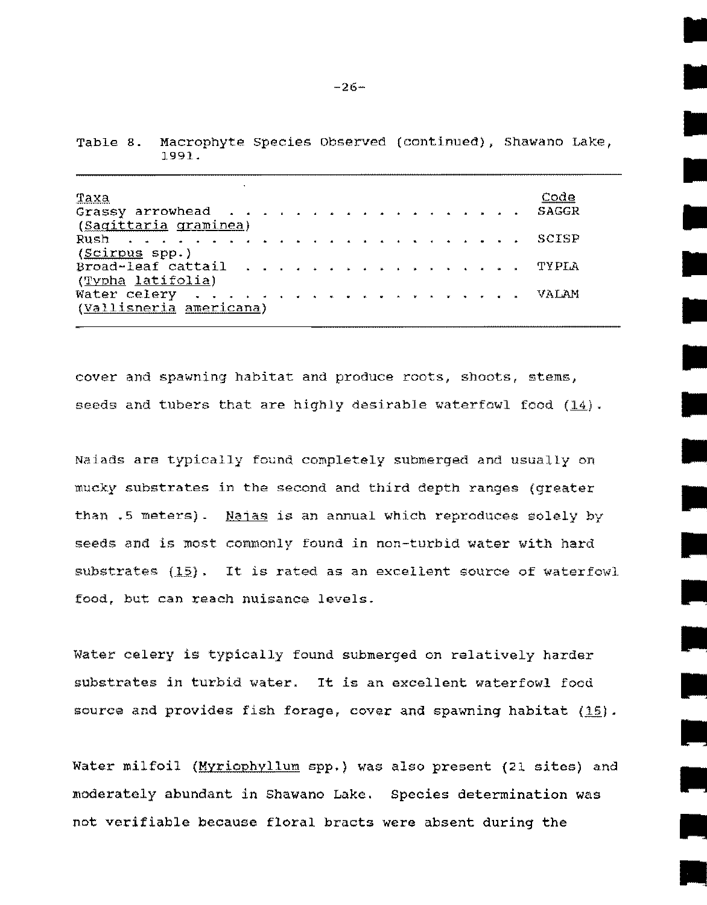| Taxa<br>Grassy arrowhead<br>(Sagittaria graminea) | Code<br>SAGGR |
|---------------------------------------------------|---------------|
| (Scirpus spp.)                                    |               |
| Broad-leaf cattail TYPLA<br>(Typha latifolia)     |               |
| (Vallisneria americana)                           | VALAM         |

Table a. Macrophyte Species Observed (continued), Shawano Lake, 1991.

cover and spawning habitat and produce roots, shoots, stems, seeds and tubers that are highly desirable waterfowl food (14).

Naiads are typically found completely submerged and usually on mucky substrates in the second and third depth ranges {greater than .5 meters). Najas is an annual which reproduces solely by seeds and is most commonly found in non-turbid water with hard substrates  $(15)$ . It is rated as an excellent source of waterfowl food, but can reach nuisance levels.

Water celery is typically found submerged on relatively harder substrates *in* turbid water. It is an excellent waterfowl food source and provides fish forage, cover and spawning habitat  $(15)$ .

Water milfoil (Myriophyllum spp.) was also present (21 sites) and moderately abundant in Shawano Lake. Species determination was not verifiable because floral bracts were absent during the

**.**<br>•<br>•

•

•

•

•

•

•

•

•

•

•

•

•

•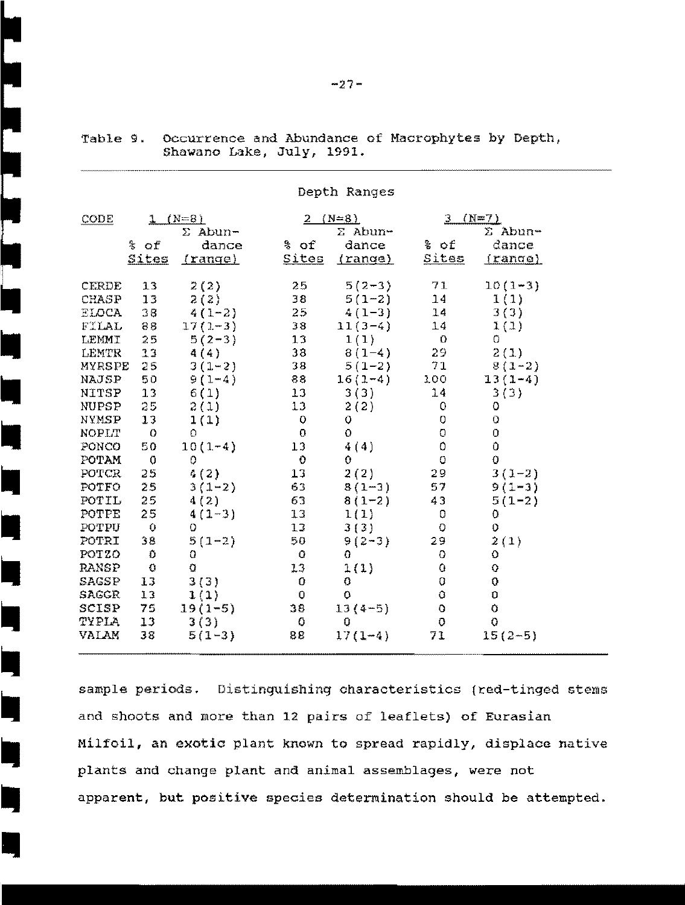|              |              |                |                 | Depth Ranges   |              |             |  |
|--------------|--------------|----------------|-----------------|----------------|--------------|-------------|--|
| CODE         |              | $1 (N=8)$      |                 | $2 (N=8)$      | $3 (N=7)$    |             |  |
|              |              | $\Sigma$ Abun- |                 | $\Sigma$ Abun- |              | ∑ Abun-     |  |
|              | % of         | dance          | % of            | dance          | % of         | dance       |  |
|              | <b>Sites</b> | <u>(range)</u> |                 | Sites (range)  | <u>Sites</u> | (range)     |  |
| <b>CERDE</b> | 13           | 2(2)           | 25              | $5(2-3)$       | 71           | $10(1-3)$   |  |
| <b>CHASP</b> | 13           | 2(2)           | 38              | $5(1-2)$       | 14           | 1(1)        |  |
| ELOCA        | $38 -$       | $4(1-2)$       | $25 -$          | $4(1-3)$       | 14           | 3(3)        |  |
| FILAL        | 88           | $17(1-3)$      | $38 -$          | $11(3-4)$      | 14           | 1(1)        |  |
| LEMMI        | $25 -$       | $5(2-3)$       | 13              | 1(1)           | $\Box$       | 0           |  |
| LEMTR        | $33 -$       | 4(4)           | 38              | $8(1-4)$       | 29.          | 2(1)        |  |
| MYRSPE       | $25 -$       | $3(1 - 2)$     | 38              | $5(1-2)$       | 71           | $8(1-2)$    |  |
| NAJSP        | 50           | $9(1-4)$       |                 | $16(1-4)$      | 100          | $13(1-4)$   |  |
| NITSP        | $13 -$       | 6(1)           | 13 <sub>1</sub> | 3(3)           | 14           | 3(3)        |  |
| NUPSP        | $25 -$       | 2(1)           | $13 -$          | 2(2)           | $\mathbf{O}$ | 0           |  |
| NYMSP        | 13           | 1(1)           | $\bullet$       | $\circ$        | O            | $\mathbf O$ |  |
| NOPLT        | $\bullet$    | Ο.             | $\mathbf{O}$    | O              | $\mathbf 0$  | 0           |  |
| PONCO        | 50           | $10(1-4)$      | 13              | 4(4)           | 0            | $\bullet$   |  |
| POTAM        | $\sigma$     | $\circ$        | $\bullet$       | $\Omega$       | $\mathbf{O}$ | $\mathbf 0$ |  |
| <b>POTCR</b> | 25           | 4(2)           | $13 -$          | 2(2)           | 29           | $3(1-2)$    |  |
| POTFO        | 25           | $3(1-2)$       | 63              | $8(1-3)$       | 57           | $9(1 - 3)$  |  |
| POTIL        | 25           | 4(2)           | 63              | $8(1-2)$       | 43           | $5(1-2)$    |  |
| <b>POTPE</b> | 25           | $4(1-3)$       | $13 -$          | 1(1)           | $\mathbf{O}$ | 0           |  |
| POTPU        | $\bullet$    | $\circ$        | 13 <sub>1</sub> | 3(3)           | $\circ$      | 0           |  |
| POTRI        | 38           | $5(1-2)$       | 50              | $9(2-3)$       | 29.          | 2(1)        |  |
| POTZO        | Ð            | O              | $\bullet$       | 0.             | $\bullet$    | 0           |  |
| <b>RANSP</b> | $\mathbf C$  | O              | $13 -$          | 1(1)           | 0            | $\bullet$   |  |
| SAGSP        | 13           | 3(3)           | $\bullet$       | 0              | 0            | Ō           |  |
| <b>SAGGR</b> | 13           | 1(1)           | $\mathbf{0}$    | 0              | Ō            | $\Omega$    |  |
| SCISP 75     |              | $19(1-5)$      | $38 -$          | $13(4-5)$      | $\mathbf O$  | $\bullet$   |  |
| TYPLA 13     |              | 3(3)           | $\bullet$       | $\mathbb Q$    | $\bullet$    | $\ddot{Q}$  |  |
| <b>VALAM</b> | 38           | $5(1-3)$       | 88              | $17(1-4)$      | 71           | $15(2-5)$   |  |

•

•

•

•

•

•<br>•

•<br>•<br>•

•<br>•<br>•

•<br>•<br>•

•<br>•<br>•

•<br>•<br>•

•<br>•

I,

Table 9. Occurrence and Abundance of Macrophytes by Depth, Shawano Lake, July, 1991.

sample periods. Distinguishing characteristics (red-tinged stems and shoots and more than 12 pairs of leaflets} of Eurasian Milfoil, an exotic plant known to spread rapidly, displace native plants and change plant and animal assemblages, were not apparent, but positive species determination should be attempted.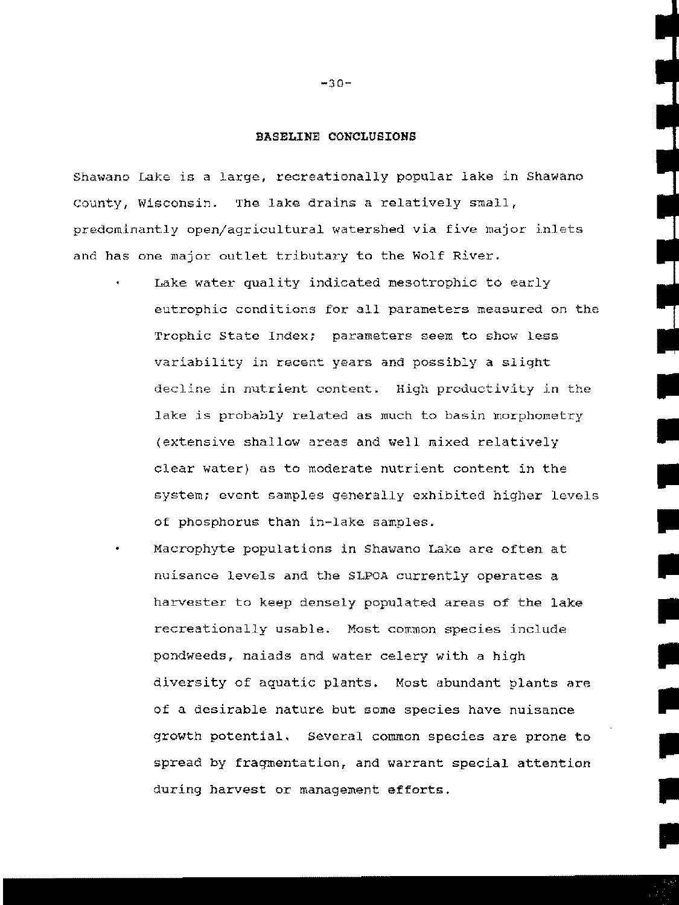#### BASELINE CONCLUSIONS

Shawano Lake is a large, recreationally popular lake in Shawano County, Wisconsin. The lake drains a relatively small, predominantly open/agricultural watershed via five major inlets and has one major outlet tributary to the Wolf River.

Lake water quality indicated mesotrophic to early eutrophic conditions for all parameters measured on the Trophic State Index; parameters seem to show less variability in recent years and possibly a slight decline in nutrient content. High productivity in the lake is probably related as much to basin morphometry (extensive shallow areas and well mixed relatively clear water) as to moderate nutrient content in the system; event samples generally exhibited higher levels of phosphorus than in-lake samples.

•

•

•

•

•

•

II

**III** 

II

**III** 

II

Macrophyte populations in Shawano Lake are often at nuisance levels and the SLPOA currently operates a harvester to keep densely populated areas of the lake recreationally usable. Most common species include pondweeds, naiads and water celery with a high diversity of aquatic plants. Most abundant plants are of a desirable nature but some species have nuisance growth potential. Several common species are prone to spread by fragmentation, and warrant special attention during harvest or management efforts.

 $-30-$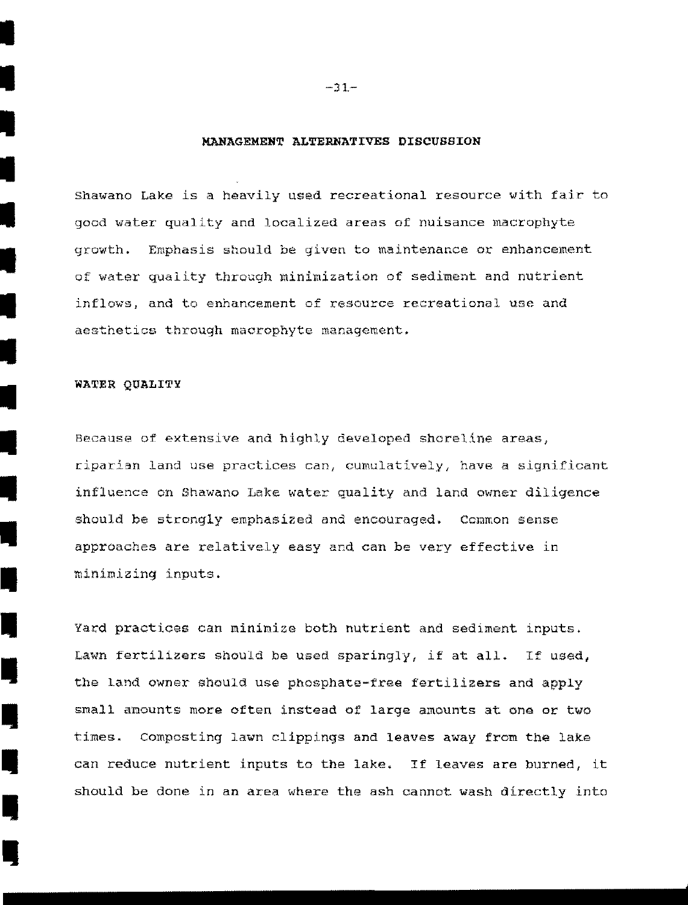#### **MANAGEMENT ALTERNATIVES DlSCUSSION**

Shawano Lake is a heavily used recreational resource with fair to good water quality and localized areas of nuisance macrophyte growth. Emphasis should be given to maintenance or enhancement of water quality through minimization of sediment and nutrient inflows, and to enhancement of resource recreational use and aesthetics through macrophyte management.

#### WATER QUALITY

I

I

I

I

I

I

•<br>•<br>•

•

•<br>•<br>•

•<br>•<br>•

•<br>•

•<br>•<br>•

•<br>•<br>•

•<br>•<br>•

•<br>•<br>•

•<br>•<br>•

•<br>•<br>•

•<br>•<br>•

•<br>•<br>•

Because of extensive and highly developed shoreline areas, riparian land use practices can, cumulatively, have a significant influence on Shawano Lake water quality and land owner diligence should be strongly emphasized and encouraged. Common sense approaches are relatively easy and can be very effective in minimizing inputs .

Yard practices can minimize both nutrient and sediment inputs. Lawn fertilizers should be used sparingly, if at all. If used, the land owner should use phosphate-free fertilizers and apply small amounts more often instead of large amounts at one or two times. Composting lawn clippings and leaves away from the lake can reduce nutrient inputs to the lake. If leaves are burned, it should be done in an area where the ash cannot wash directly into

 $-31-$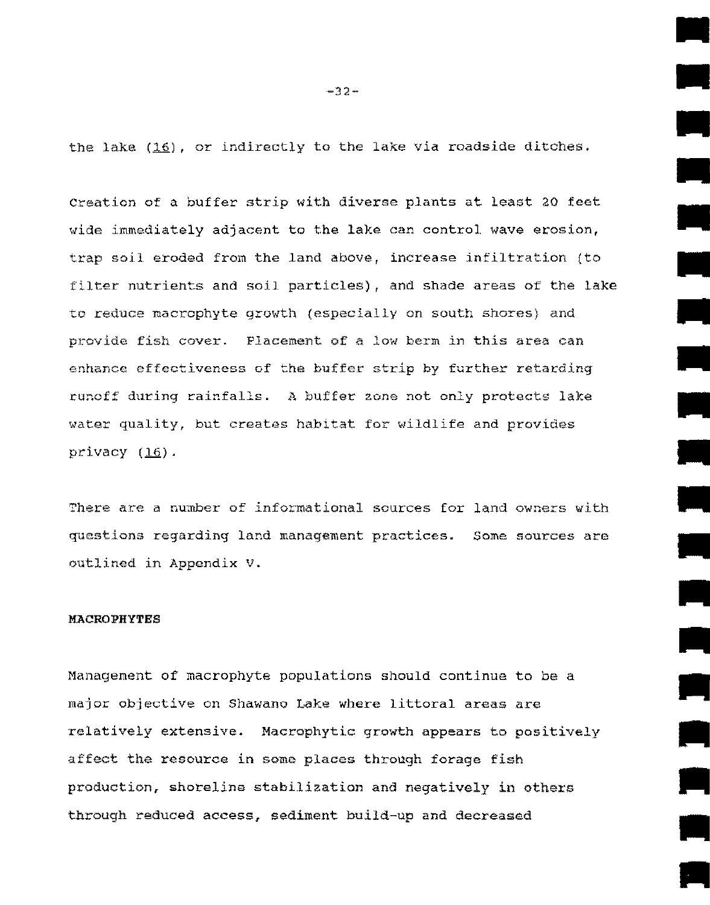the lake  $(16)$ , or indirectly to the lake via roadside ditches.

creation of a buffer strip with diverse plants at least 20 feet wide immediately adjacent to the lake can control wave erosion, trap sojl eroded from the land above, increase infiltration (to filter nutrients and soil particles), and shade areas of the lake to reduce macrophyte growth (especially on south shores) and provide fish cover. Placement of a low berm in this area can enhance effectiveness of the buffer strip by further retarding runoff during rainfalls. A buffer zone not only protects lake water quality, but creates habitat for wildlife and provides privacy  $(16)$ .

There are a number of informational sources for land owners with questions regarding land management practices. Some sources are outlined in Appendix V.

#### **MACROPHYTES**

Management of macrophyte populations should continue to be a major objective on Shawano Lake where littoral areas are relatively extensive. Macrophytic growth appears to positively affect the resource in some places through forage fish production, shoreline stabilization and negatively in others through reduced access, sediment build-up and decreased

 $-32-$ 

•

•

•

•

•

•

•

•

 $\overline{\phantom{a}}$ 

•

•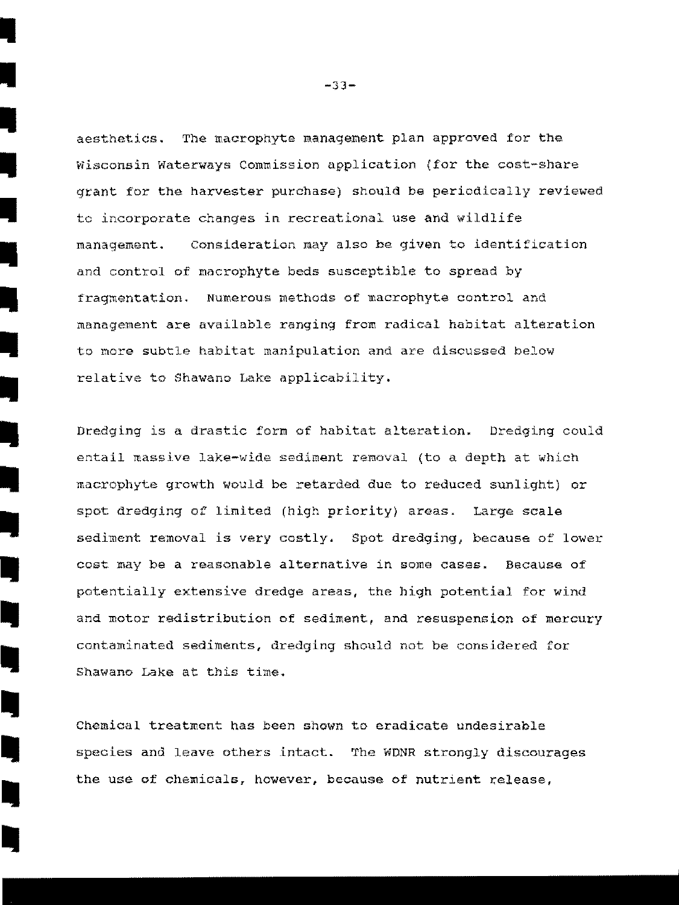aesthetics. The macrophyte management plan approved for the Wisconsin waterways Commission application (for the cost-share grant for the harvester purchase) should be periodically reviewed to incorporate changes in recreational use and wildlife management. Consideration may also be given to identification and control of macrophyte beds susceptible to spread by fragmentation. Numerous methods of macrophyte control and management are available ranging from radical habitat alteration to nore subtle habitat manipulation and are discussed below relative to Shawano Lake applicability.

Dredging is a drastic form of habitat alteration. Dredging could entail massive lake-wide sediment removal (to a depth at which macrophyte growth would be retarded due to reduced sunlight) or spot dredging of linited (high priority) areas. Large scale sediment removal is very costly. Spot dredging, because of lower cost may be a reasonable alternative in some cases. Because of potentially extensive dredge areas, the high potential for wind and motor redistribution of sediment, and resuspension of mercury contaminated sediments, dredging should not be considered for Shawano Lake at this time.

Chemical treatment has been shown to eradicate undesirable species and leave others intact. The WDNR strongly discourages the use of chemicals, however, because of nutrient release,

 $-33-$ 

•

•<br>•<br>•

•

•<br>•<br>•

•

I

I

**I** 

I,

**II** 

I.

I,

IŲ.

I.

I.

I,

I,

I,

I,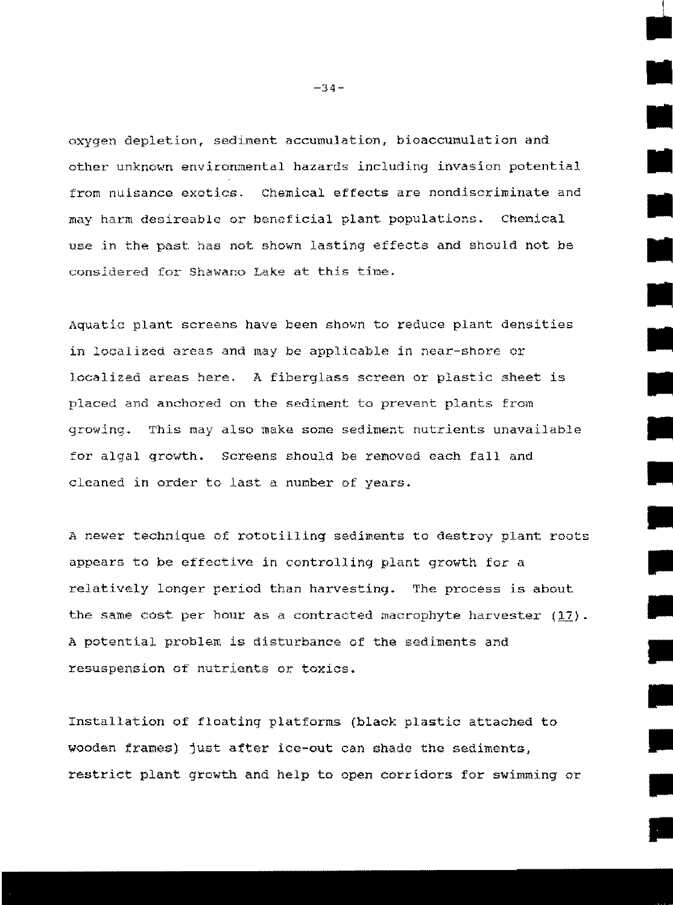oxygen depletion, sediment accumulation, bioaccumulation and other unknown environmental hazards including invasion potential from nuisance exotics. Chemical effects are nondiscriminate and may harm desireable or beneficial plant populations. Chenical use in the past. has not shown lasting effects and should not be considered for Shawano Lake at this time.

Aquatic plant screens have been shown to reduce plant densities in localized areas and may be applicable in near-shore or localized areas here. A fiberglass screen or plastic sheet is placed and anchored on the sediment to prevent plants from growing. This may also make some sediment nutrients unavailable for algal growth. Screens should be removed each fall and cleaned in order to last a nunber of years.

A newer technique of rototilling sediments to destroy plant roots appears to be effective in controlling plant growth for a relatively longer period than harvesting. The process is about the same cost per hour as a contracted macrophyte harvester  $(17)$ . A potential problem is disturbance of the sediments and resuspension of nutrients or toxics.

Installation of floating platforms (black plastic attached to wooden frames) just after ice-out can shade the sediments, restrict plant growth and help to open corridors for swimming or •

•

•

-34-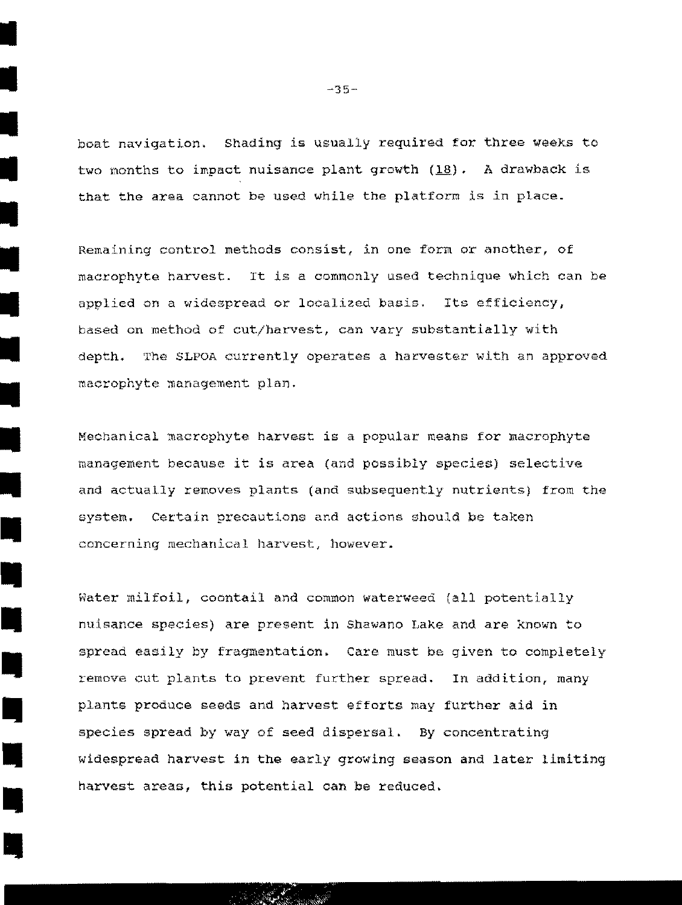boat navigation. Shading is usually required for three weeks to two months to impact nuisance plant growth (18). A drawback is that the area cannot be used while the platforn is in place.

Remaining control methods consist, in one form or another, of macrophyte harvest. It is a commonly used technique which can be applied on a widespread or localized basis. Its efficiency, based on method of cut/harvest, can vary substantially with depth. The SLPOA currently operates a harvester with an approved macrophyte management plan.

Mechanical macrophyte harvest is a popular means for macrophyte management because it is area (and possibly species) selective and actually removes plants (and subsequently nutrients) from the system. Certain precautions and actions should be taken concerning mechanical harvest, however .

Water milfoil, coontail and common waterweed (all potentially nuisance species) are present in Shawano Lake and are known to spread easily by fragmentation. care must be given to completely remove cut plants to prevent further spread. In addition, many plants produce seeds and harvest efforts may further aid in species spread by way of seed dispersal. By concentrating widespread harvest in **the** early growing season and later limiting harvest areas, this potential can be reduced.

~35-

I

I

i<br>J

I

I

I

I

I

I

I

I

•

•

•

•<br>•

•

•

•

•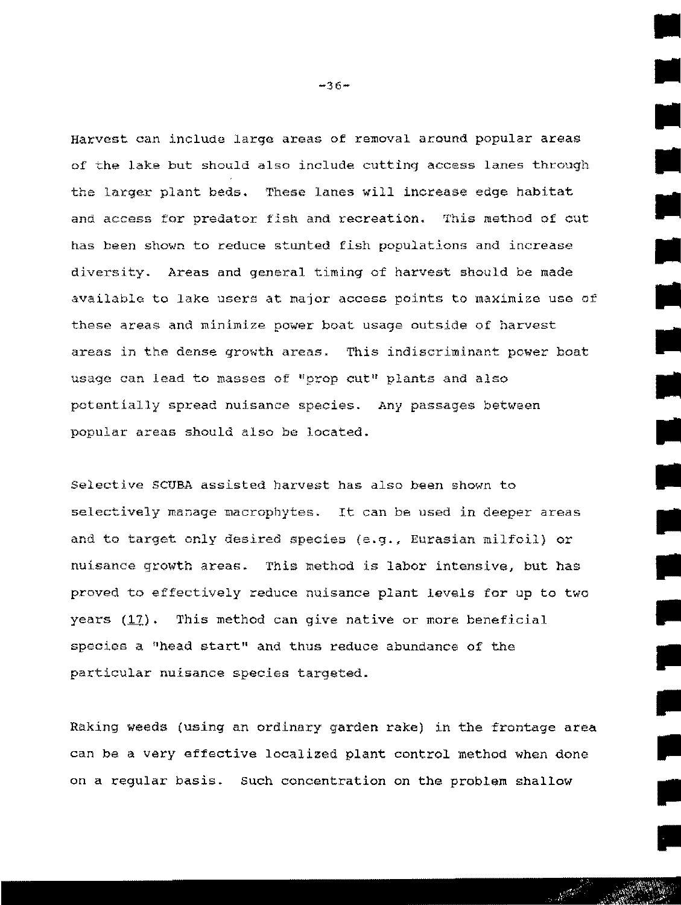Harvest can include large areas of removal around popular areas of the lake but should also include cuttinq access lanes through the larger plant beds. These lanes will increase edge habitat and access for predator fish and recreation. This method of cut has been shown to reduce stunted fish populations and increase diversity. Areas and general timing of harvest should be made available to lake users at major access points to maximize use of these areas and minimize power boat usage outside of harvest areas in the dense growth areas. This indiscriminant power boat usage can lead to masses of "prop cut" plants and also potentially spread nuisance species. Any passages between popular areas should also be located.

Selective SCUBA assisted harvest has also been shown to selectively manage macrophytes. It can be used in deeper areas and to target only desired species  $(e,q., g)$  Eurasian milfoil) or nuisance growth areas. This method is labor intensive, but has proved to effectively reduce nuisance plant levels for up to two years (17). This method can give native or more beneficial species a "head start" and thus reduce abundance of the particular nuisance species targeted.

Raking weeds (using an ordinary garden rake) in the frontage area can be a very effective localized plant control method when done on a regular basis. such concentration on the problem shallow

 $-36-$ 

**بير**<br>بير

•

•

**III** 

**III** 

II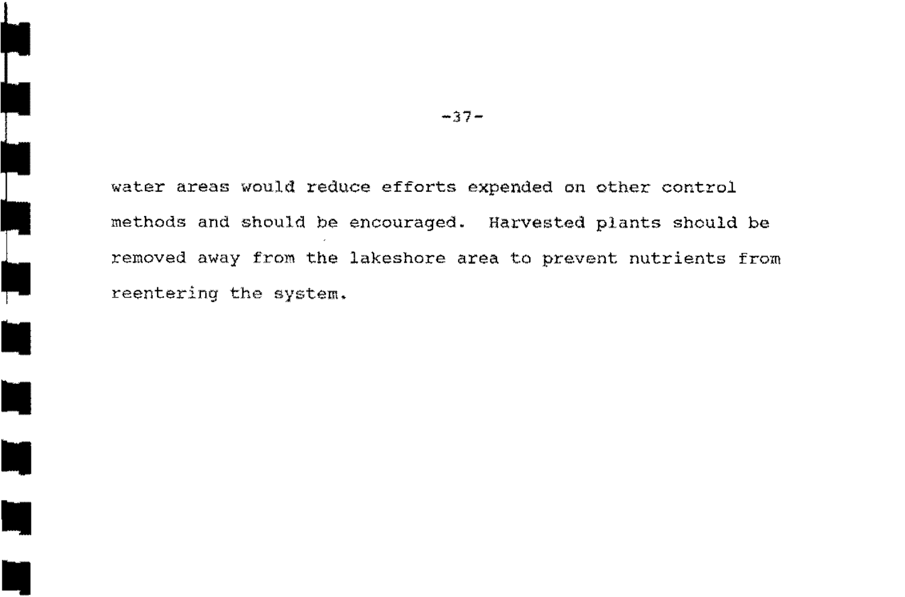water areas would reduce efforts expended on other control methods and should be encouraged. Harvested plants should be removed away from the lakeshore area to prevent nutrients from reentering the system.

 $-37-$ 

**•**<br>•<br>•

|<br>|<br>"

ţ

E

E

•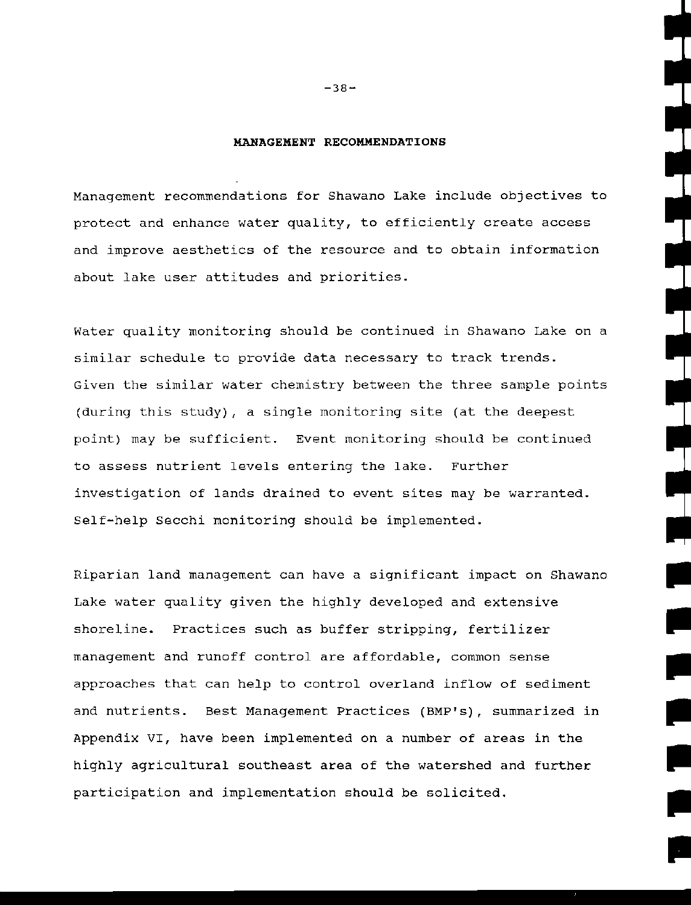#### **MANAGEMENT RECOMMENDATIONS**

Management recommendations for Shawano Lake include objectives to protect and enhance water quality, to efficiently create access and improve aesthetics of the resource and to obtain information about lake user attitudes and priorities.

Water quality monitoring should be continued in Shawano Lake on a similar schedule to provide data necessary to track trends. Given the similar water chemistry between the three sample points (during this study), a single monitoring site (at the deepest point) may be sufficient. Event monitoring should be continued to assess nutrient levels entering the lake. Further investigation of lands drained to event sites may be warranted. Self-help Secchi monitoring should be implemented.

Riparian land management can have a significant impact on Shawano Lake water quality given the highly developed and extensive shoreline. Practices such as buffer stripping, fertilizer management and runoff control are affordable, common sense approaches that can help to control overland inflow of sediment and nutrients. Best Management Practices (BMP's), summarized in Appendix VI, have been implemented on a number of areas in the highly agricultural southeast area of the watershed and further participation and implementation should be solicited.

•

•

•

•

•

•

 $-38-$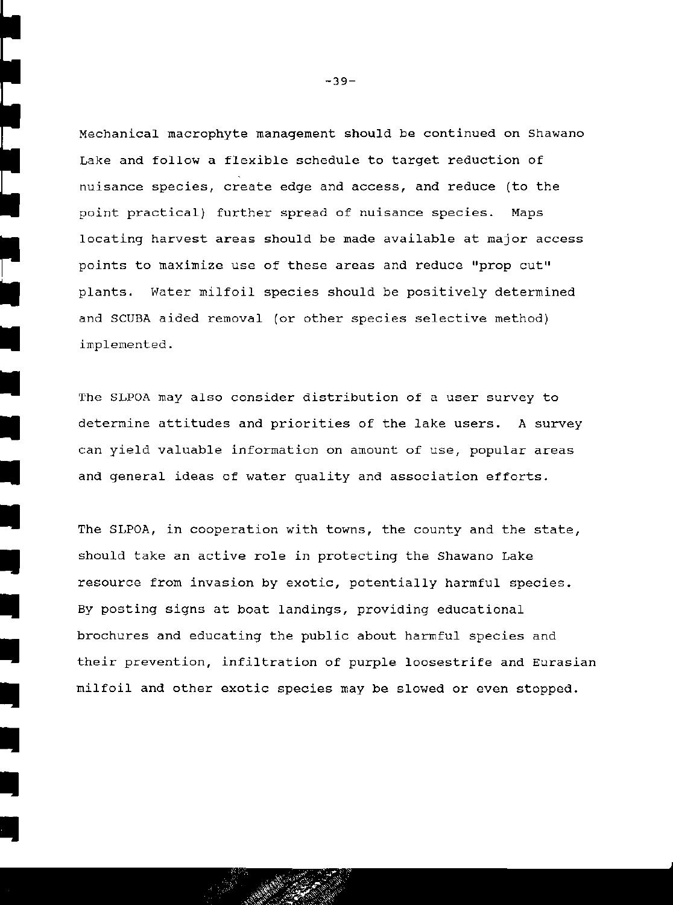Mechanical macrophyte management should be continued on Shawano Lake and follow a flexible schedule to target reduction of nuisance species, create edge and access, and reduce (to the point practical) further spread of nuisance species. Maps locating harvest areas should be made available at major access points to maximize use of these areas and reduce "prop cut" plants. Water milfoil species should be positively determined and SCUBA aided removal (or other species selective method) implemented.

The SLPOA may also consider distribution of a user survey to extermine attitudes and priorities of the lake users. A survey<br>can yield valuable information on amount of use, popular areas can yield valuable information on amount of use, popular areas and general ideas of water quality and association efforts.

The SLPOA, in cooperation with towns, the county and the state, should take an active role in protecting the Shawano Lake resource from invasion by exotic, potentially harmful species. By posting signs at boat landings, providing educational and brochures and educating the public about harmful species and<br>their prevention, infiltration of purple loosestrife and Eurasian milfoil and other exotic species may be slowed or even stopped.

•

•<br>•<br>•

•

 $-39-$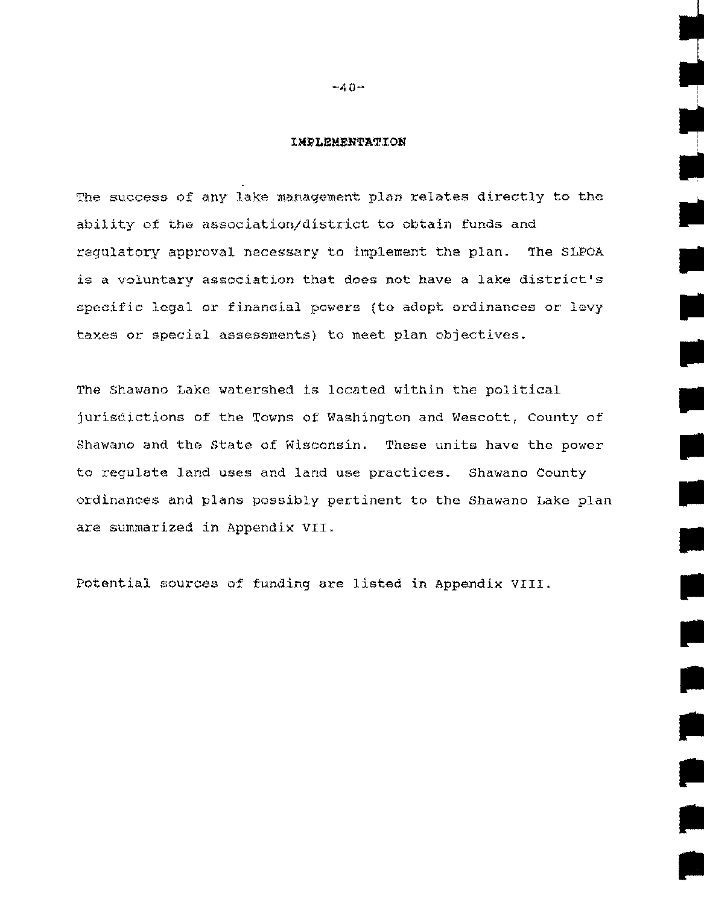#### IMPLEMENTATION

The success of any lake management plan relates directly to the ability of the association/district to obtain funds and regulatory approval necessary to implement the plan. The SLPOA is a voluntary association that does not have a lake district's specific legal or financial powers (to adopt ordinances or levy taxes or special assessments) to meet plan objectives.

•

**ب**<br>•<br>سا

•

•

•

•

•

The Shawano Lake watershed is located within the political jurisdictions of the Towns of Washington and Wescott, County of Shawano and the State of Wisconsin. These units have the power to regulate land uses and land use practices. Shawano County ordinances and plans possibly pertinent to the Shawano Lake plan are summarized in Appendix VII.

Potential sources o7 funding are listed in Appendix VIII.

 $-40-$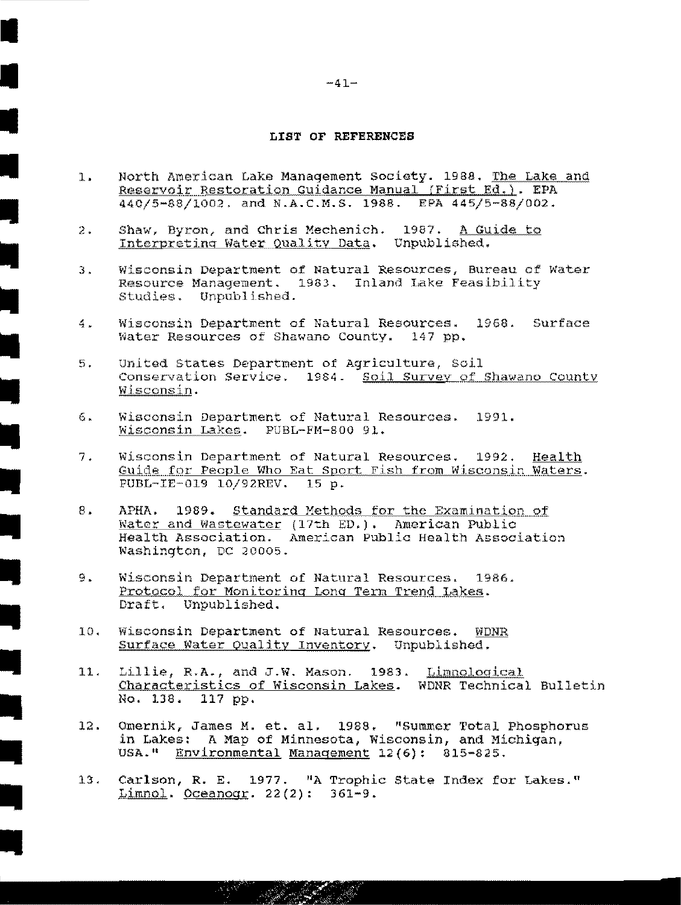#### LIST OF REFERENCES

- North American Lake Management Society. 1988. The Lake and  $\mathbf{1}$ . Reservoir Restoration Guidance Manual (First Ed.). EPA 440/5-88/1002, and N.A.C.M.S. 1988. EPA 445/5-88/002.
- Shaw, Byron, and Chris Mechenich. 1987. A Guide to  $2.$ Interpreting Water Quality Data. Unpublished.
- Wisconsin Department of Natural Resources, Bureau of Water  $\mathfrak{Z}$ . Resource Management. 1983. Inland Lake Feasibility Studies. Uppublished.
- Wisconsin Department of Natural Resources. 1968. Surface  $4.1$ Water Resources of Shawano County. 147 pp.
- 5. United States Department of Agriculture, Soil Conservation Service. 1984. Soil Survey of Shawano County Wisconsin.
- Wisconsin Department of Natural Resources. 1991. б. Wisconsin Lakes. PUBL-FM-800 91.
- Wisconsin Department of Natural Resources.  $7.$  $1992.$ Health Guide for People Who Eat Sport Fish from Wisconsin Waters. PUBL-IE-019 10/92REV. 15 p.
- 8. АРНА. Standard Methods for the Examination of 1989. Water and Wastewater (17th ED.). American Public Health Association. American Public Health Association Washington, DC 20005.
- 9. Wisconsin Department of Natural Resources. 1986. Protocol for Monitoring Long Term Trend Lakes. Draft. Unpublished.
- $10.$ Wisconsin Department of Natural Resources. WDNR Surface Water Quality Inventory. Unpublished.
- $11.$ Lillie, R.A., and J.W. Mason. 1983. Limnological Characteristics of Wisconsin Lakes. WDNR Technical Bulletin No. 138. 117 pp.
- $12.$ Omernik, James M. et. al. 1988. "Summer Total Phosphorus A Map of Minnesota, Wisconsin, and Michigan, în Lakes: USA." Environmental Management 12(6): 815-825.
- 13. Carlson, R. E. 1977. "A Trophic State Index for Lakes." Limnol. Oceanogr. 22(2): 361-9.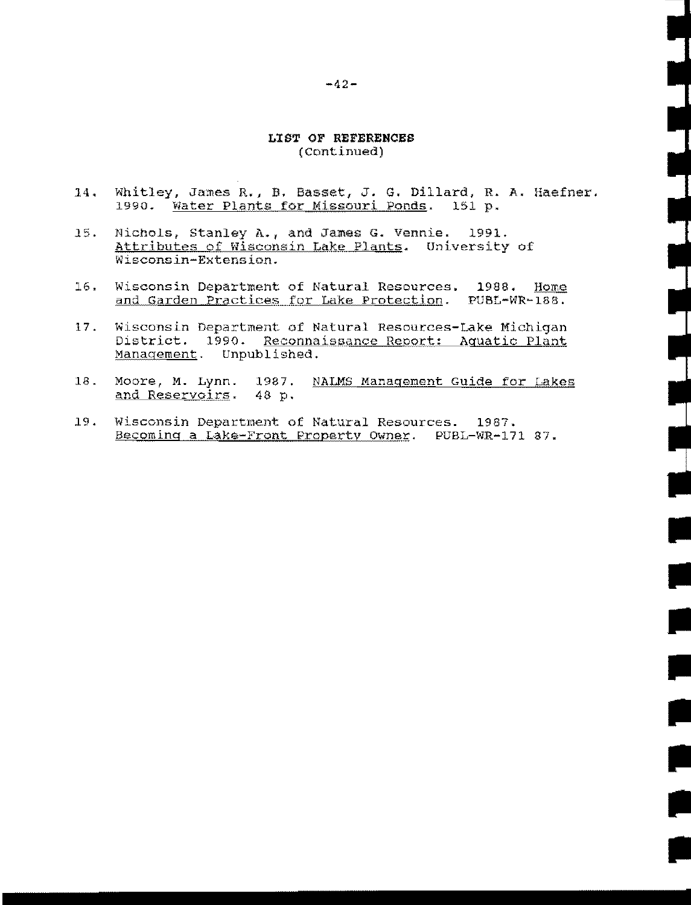#### LIST OF REFERENCES (Continued)

Whitley, James R., B. Basset, J. G. Dillard, R. A. Haefner.  $14.$ 1990. Water Plants for Missouri Ponds. 151 p.

- 15. Nichols, Stanley A., and James G. Vennie. 1991. Attributes of Wisconsin Lake Plants. University of Wisconsin-Extension.
- Wisconsin Department of Natural Resources. 1988.  $16.$ Home and Garden Practices for Lake Protection. PUBL-WR-188.
- $17.$ Wisconsin Department of Natural Resources-Lake Michigan District. 1990. Reconnaissance Report: Aquatic Plant Management. Unpublished.
- $18.$ Moore, M. Lynn. 1987. NALMS Management Guide for Lakes and Reservoirs. 48 p.
- 19. Wisconsin Department of Natural Resources. 1987. Becoming a Lake-Front Property Owner. PUBL-WR-171 87.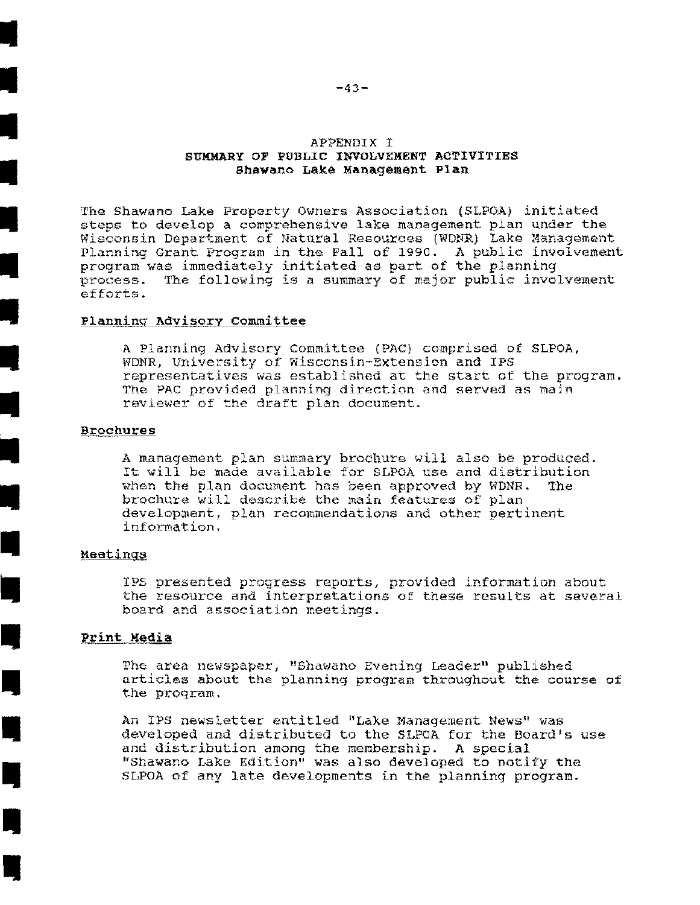#### APPENDIX I SUMMARY OF PUBLIC INVOLVEMENT ACTIVITIES Shawano Lake Management Plan

The Shawano Lake Property Owners Association (SLPOA) initiated steps to develop a comprehensive lake management plan under the Wisconsin Department of Natural Resources (WDNR) Lake Management Planning Grant Program in the Fall of 1990. A public involvement program was immediately initiated as part of the planning process. The following is a summary of major public involvement efforts.

#### Planning Advisory Committee

A Planning Advisory Committee (PAC) comprised of SLPOA, WDNR, University of Wisconsin-Extension and IPS representatives was established at the start of the program. The PAC provided planning direction and served as main reviewer of the draft plan document.

#### **Brochures**

A management plan summary brochure will also be produced. It will be made available for SLPOA use and distribution when the plan document has been approved by WDNR. brochure will describe the main features of plan development, plan recommendations and other pertinent information.

#### Meetings

IPS presented progress reports, provided information about the resource and interpretations of these results at several board and association meetings.

#### Print Media

The area newspaper, "Shawano Evening Leader" published articles about the planning program throughout the course of the program.

An IPS newsletter entitled "Lake Management News" was developed and distributed to the SLPOA for the Board's use and distribution among the membership. A special<br>"Shawano Lake Edition" was also developed to notify the SLPOA of any late developments in the planning program.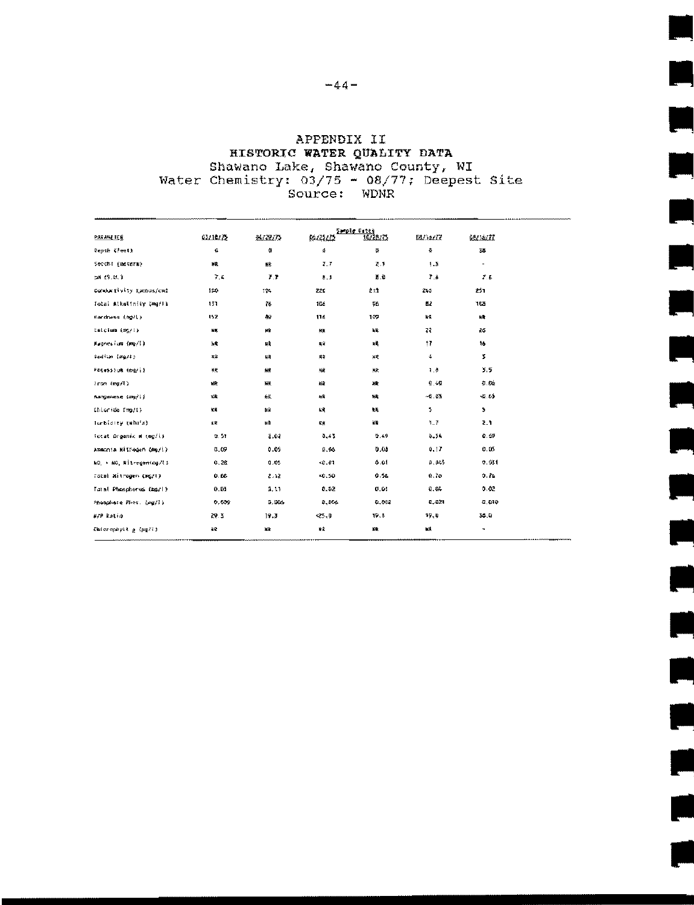# APPENDIX II HISTORIC WATER QUALITY DATA Shawano Lake, Shawano County, WI<br>Water Chemistry: 03/75 - 08/77; Deepest Site<br>Source: WDNR

|                          |          |          |             | Service Cates |              |                          |
|--------------------------|----------|----------|-------------|---------------|--------------|--------------------------|
| <b>PARANETER</b>         | 63/14/25 | 06729775 | <u> 延彦彦</u> | 16/28/25      | 読むるがで        | <u>68756777</u>          |
| Depth (Peet)             | €        | ĝ.       | 4           | õ.            | 츞            | 35                       |
| Secchi (meterm)          | 繰        | 総        | 7.7         | 装置            | 5.5          | $\overline{\phantom{a}}$ |
| tal 19.0.3               | 7.4      | 7.7      | 8.3         | 差遣            | 学者           | 7.5                      |
| Cordurllyity Lombos/cml  | IEC.     | 194      | 220         | 211           | 245          | 251                      |
| Total Alkatinity (mg/l)  | 131      | 裕        | 106         | 96            | 藍色           | 105                      |
| Mardmess (mg/l)          | 152      | 89       | 116         | 107           | 'nП          | ĸt                       |
| Calcium (mg/l)           | NR.      | иÞ       | 果           | ЦR.           | 22           | 26                       |
| Magnesium (mg/l)         | 'nЯ      | 見角       | 具体          | нğ            | Ħ            | to.                      |
| Section (marty           | 飛業       | 服務       | 乗ぎ          | 疑惑            | ÷            | ž.                       |
| Potessiva (carlil        | 矮栗       | 辯義       | 縦           | 米次            | 7.8          | 3.5                      |
| $i$ ron $(mg/\ell)$      | MR.      | 新業       | 採           | 繳             | 9.46         | 机线                       |
| Ranganese (ma/li         | 殺        | 鋖        | 松           | 樣             | 46.63        | $-53$                    |
| Ehlaride fmo/1)          | 社民       | 軽        | 縫           | 報報            | \$           | s.                       |
| lurbicity (white)        | 原開       | ¥₿       | СØ.         | 嵴             | $1 - 7$      | 2.1                      |
| Total Dreemic # (mg/i)   | 9.51     | 3.02     | 3,45        | 9.49          | 9.54         | 0.69                     |
| Ammonia Nitrogen (mg/l)  | 0.09     | 0.09     | 0.05        | 0.08          | 0.17         | 0.05                     |
| NO, > NO, Nitrogen(mg/l) | 0.28     | 0.05     | $-0.01$     | 0.01          | 0.045        | 0.031                    |
| Total Hitrogen (sg/l)    | 0.66     | 2.12     | $-0.50$     | 9.58          | 0.76         | 0.76                     |
| Tutal Phosphorus (agri)  | 0.53     | Ø. LE    | 5.02        | 0.03          | 0.04         | 0.02                     |
| Phosphere Phot. (mg/l)   | 6,635    | 9.805    | 9.366       | 0.003         | <b>6.671</b> | 0.019                    |
| X/P Ratio                | 29.3     | 19.3     | $-25.9$     | 19. E         | 39.O         | 35.0                     |
| Entorophyli a (py/i)     | 88       | 織        | 発泉          | NR.           | 槭            | ۰                        |
|                          |          |          |             |               |              |                          |

T 

 $\overline{\phantom{a}}$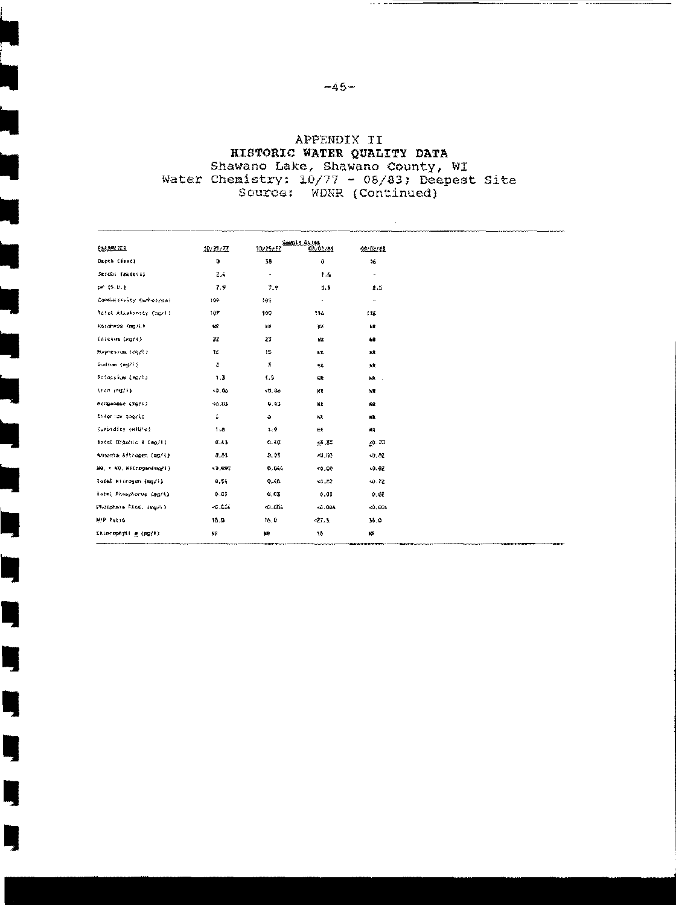# APPENDIX II HISTORIC WATER QUALITY DATA Shawano Lake, Shawano County, WI Water Chemistry: 10/77 - 08/83; Deepest Site<br>Source: WDNR (Continued)

Ę

L.

Ŋ

Ŋ

Ŋ

Ŋ

Ŋ

Ŋ

|                              |               |          | Seemly Dores |              |
|------------------------------|---------------|----------|--------------|--------------|
| <b>EXEXPETER</b>             | 1923277       | 10/25/77 | 03/02/55     | 继续线          |
| Dapth (fret)                 | ¢.            | 38       | Ù.           | ŧ6           |
| Secchi (exteri)              | 2.4           | ۰        | 1.6          | $\mathbf{v}$ |
| pr. 15. B. 1                 | 7.9           | 7.9      | 5.5          | 4.5          |
| Complete the fty Cambros/Can | 109           | 169      | $\lambda$    | $\mathbf{w}$ |
| Tatal Alkatinity Cmarli      | 197           | 109      | 116          | ¥¥           |
| Kandness (mg/L)              | KÑ.           | ΠЩ       | 禊業           | нR           |
| falctum (mg/i)               | 22            | 23       | NR.          | 輪            |
| <b>Repression (mg/l)</b>     | Ĩ£.           | 12       | KR.          | 業業           |
| Sodium (mg/l)                | Z.            | \$       | 戰            | 联邦           |
| Potassium (mg/ł)             | 1,3           | 1.5      | 碟            | NR.          |
| iron $\{mI/I\}$              | x0.06         | 40.46    | 林岡           | 耗費           |
| Nanganese (mg/1)             | 48.85         | 0.03     | КÆ           | 鹼            |
| Dhiorice taggill             | £.            | ۰        | XR           | КĿ           |
| Surbidity (#fU'#2            | 1.4           | 1.9      | 鉴题           | NR           |
| Setal Organic N (mg/l)       | 0.43          | 0.58     | -0.80        | 40.20        |
| Ammunta Ritrogen (mg/1)      | <b>E.</b> \$1 | 0.05     | $-4,03$      | 40,07        |
| NO, + 40, Mitrogenisari)     | ₹9,00Ç        | 0.044    | 40.00        | -4.42        |
| Tofal Witrogen (mg/i)        | 0, 54         | Q.48     | 40, 22       | $-0.72$      |
| Tatel Phosphorus (MG/i)      | 0.03          | 49.43    | 0.05         | 医袋           |
| Phosphate Prog. (mg/l)       | -6.634        | c0.004   | 10.004       | $-2,634$     |
| <b>H/P RALIO</b>             | 稳度            | 16.0     | 427.3        | 58.9         |
| Chierophytt g (pg/E)         | ΝR            | 輪        | 18           | K.           |

 $\sim$  1.0  $\sim$ 

 $\bar{\epsilon}$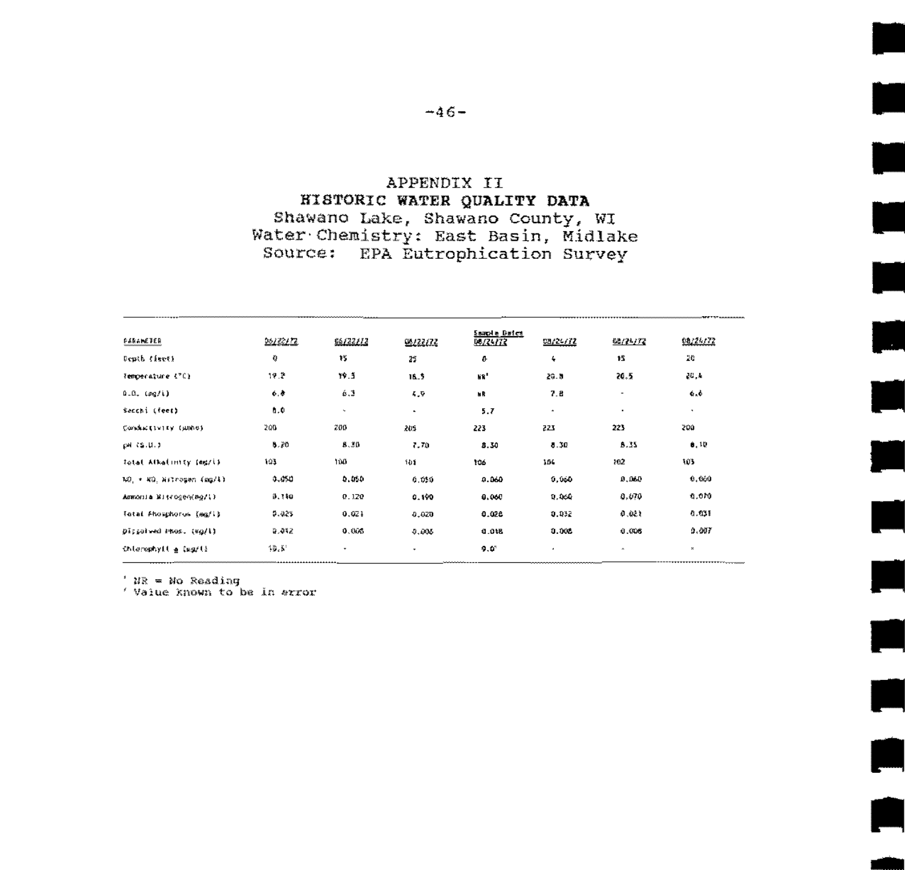#### APPENDIX II **HISTORIC WATER QUALITY DATA** Shawano Lake, Shawano County, WI Water Chemistry: East Basin, Midlake Source: EPA Eutrophication Survey

u.

| <b>FIRALETER</b>          | 22/32/72     | 16/22/12 | 99,422,672 | Sample Bairt<br>55/24/72 | 08/24/72 | 68/24/72 | 98234722     |
|---------------------------|--------------|----------|------------|--------------------------|----------|----------|--------------|
| Deuth fiscti              | ¢            | 锣        | 25         | o                        | ٠        | 15       | 20           |
| Temperature (70)          | 19.2         | 19.3     | 16.5       | ER <sup>1</sup>          | 20.5     | 20.5     | 40.A         |
| 0.0, (pq/i)               | 6.0          | 6.3      | 4,9        | ыR                       | 7.8      | ٠        | 6.6          |
| Secchi (feet)             | 0.0          | $\sim$   | $\sim$     | 5.7                      | ٠        | ٠        | ٠            |
| Conductivity (unhe)       | 200          | 200      | 205        | 223                      | 223      | 223      | 200          |
| $p = 12.0.3$              | 8.20         | 8.30     | 7.70       | 8.30                     | 0.30     | 8.35     | 0,10         |
| Total Alkalinity (mg/l)   | 193          | 100      | ibi.       | 106                      | JDL.     | 102      | 103          |
| NO, + NO. Nitrogen (mg/l) | 0.050        | 0.050    | 0.050      | 0.060                    | 0,000    | 0.040    | 0,000        |
| Ammonia Mitrogen(mg/l)    | <b>B.140</b> | 0.120    | 0.190      | 0.060                    | 0.066    | 0.070    | 0.070        |
| Tetal Phosphorus (mg/i)   | 0.025        | 0.071    | 0,020      | 0.026                    | 0.032    | 4.481    | 0.031        |
| Dispatred Phos. (#g/l)    | 9.412        | 0.003    | 0.005      | 0.018                    | 0.005    | 0.408    | 0.007        |
| interephyll a ing/li      | 10.51        | ۰        | ٠          | 9.0                      | ٠        | $\Delta$ | $\mathbf{x}$ |

 $'$  NR = No Reading

' Value known to be in arror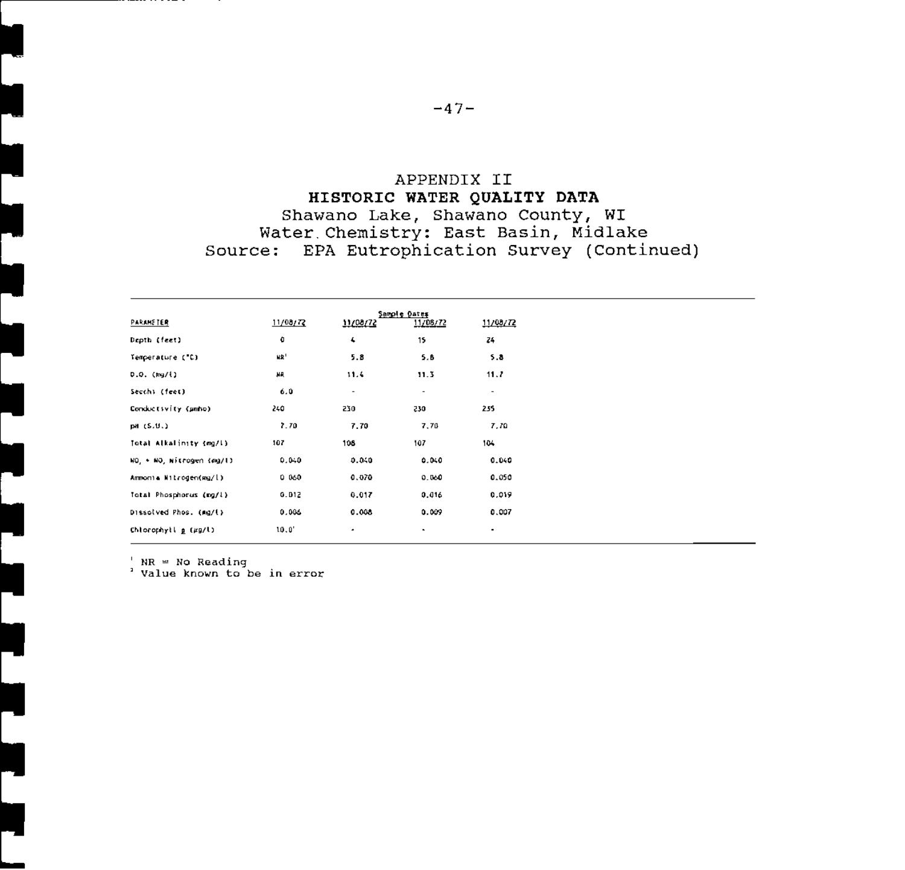#### APPENDIX II HISTORIC WATER QUALITY DATA Shawano Lake, Shawano County, WI Water Chemistry: East Basin, Midlake Source: EPA Eutrophication Survey (Continued)

| PARAMETER                 | 11/00/72        | 11/08/72                 | Sample Dates<br>11/08/72 | 11/08/72 |
|---------------------------|-----------------|--------------------------|--------------------------|----------|
| Depth (feet)              | ٥               | $\pmb{\mathcal{L}}$      | 15                       | 24       |
| Temperature ("C)          | NR <sup>1</sup> | 5.8                      | 5.8                      | 5.8      |
| D.O. (kg/l)               | нд              | 11.4                     | 11.3                     | 11.7     |
| Secchi (feet)             | 6.0             | $\overline{\phantom{a}}$ | ٠                        | ٠        |
| Conductivity (unho)       | 240             | 230                      | 230                      | 255      |
| pH (S.U.)                 | 7.70            | 7.70                     | 7,70                     | 7,70     |
| Total Alkalinity (mg/l)   | 107             | 108                      | 107                      | 104      |
| NO, + NO, Nitrogen (ag/l) | 0.040           | 0.040                    | 0.040                    | 0.040    |
| Ammonia Nitrogen(mg/l)    | 0.060           | 0.070                    | 0.060                    | 0.050    |
| Total Phosphorus (mg/l)   | 0.012           | 0.017                    | 0.016                    | 0.019    |
| Dissolved Phos. (mg/l)    | 0.006           | 0.008                    | 0.009                    | 0.007    |
| Chlorophytl p (µg/l)      | 10.0'           | ٠                        | ٠                        | ٠        |

 $'$  NR = No Reading<br><sup>2</sup> Value known to be in error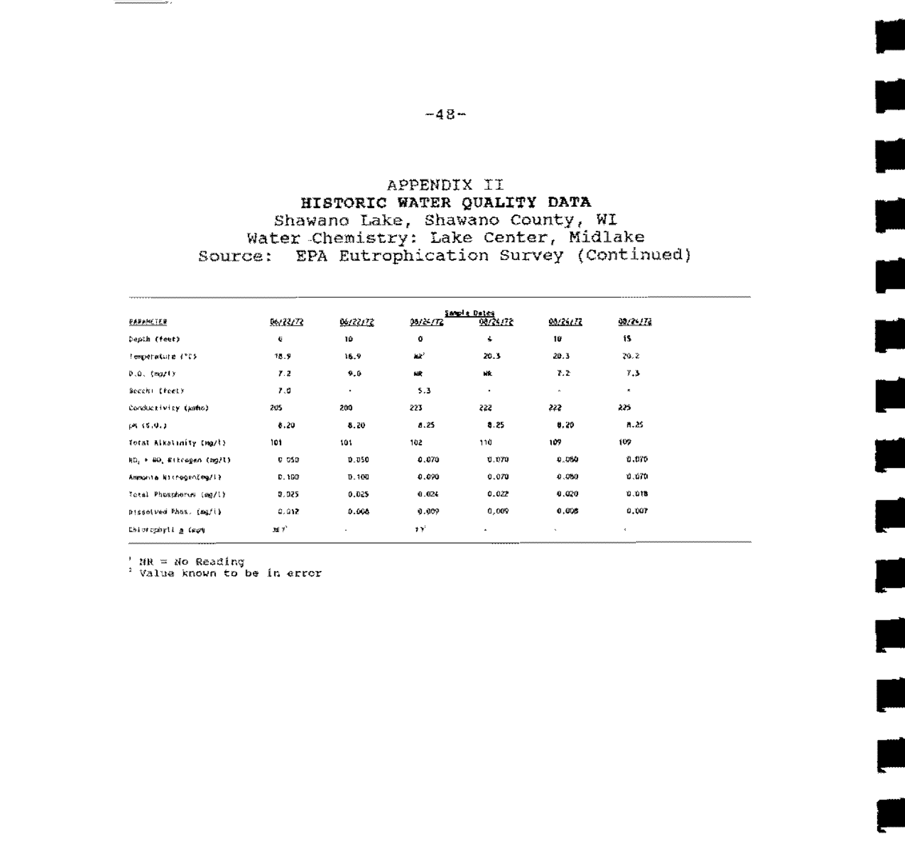#### APPENDIX II HISTORIC WATER QUALITY DATA Shawano Lake, Shawano County, WI Water Chemistry: Lake Center, Midlake Source: EPA Eutrophication Survey (Continued)

in 1999<br>Septembri

er de la posta de la posta de la posta de la posta de la posta de la posta de la posta de la posta de la posta<br>De la posta de la posta de la posta de la posta de la posta de la posta de la posta de la posta de la posta de

سان<br>ا

e.<br>S

F

 $\frac{1}{2}$ 

Ļ.

|                           |              |           |          | Sample Deter |              |         |
|---------------------------|--------------|-----------|----------|--------------|--------------|---------|
| 电热电热线压射                   | 66/22/72     | 06/22/72  | 95/2-172 | 08/25/72     | 99/26/72     | 9929273 |
| Depih (feet)              | €            | 10        | ٥        | ÷            | 10           | 1S.     |
| Temperature ("05          | 18.9         | 16.9      | щe'      | 20.3         | 20.3         | 29.2    |
| $0.0.$ (mazly             | 7.2          | 9.0       | 破        | kit.         | 7.2          | 7.3     |
| Becchi (feet)             | 7.0          | $\bullet$ | 5.3      | ٠            | $\alpha$     | ×.      |
| Conductivity (kmho)       | 205          | 200       | 223      | 222          | 222          | 225     |
| (01, 15, 0.1)             | 8.20         | 8.20      | 8.25     | 8.25         | 0.20         | 8.25    |
| Total Alkalinity Ima/l)   | 101          | 101       | 102      | 110          | 109          | 109     |
| ND, * 80, Rikcagen (mg/l) | <b>C 050</b> | 0.050     | 0.070    | U. 070       | 0.000        | o aro   |
| Ammonta NicrogenCmg/li    | D. 193       | D.100     | 0.090    | 0.070        | 0.060        | 0.670   |
| Total Phospherus (mg/l)   | 0.025        | 0.025     | 0.024    | 0.022        | 0.020        | 810.0   |
| Bisselved Phas. Imafil    | 0. GY.       | 0.006     | 0.009    | 0,009        | 0,006        | 0,007   |
| Delorophyli a Cape        | 38 F         |           | эY.      | ٠            | $\mathbf{v}$ | ×.      |

anna y c

 $'$  NR = No Reading<br> $'$  Value known to be in error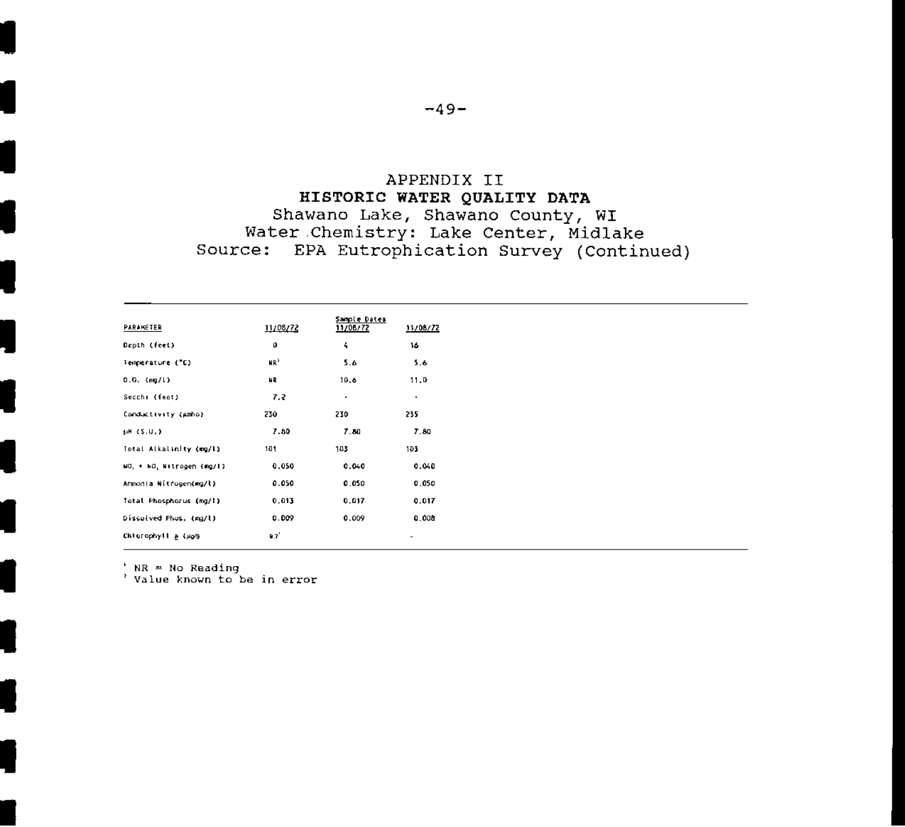#### APPENDIX II HISTORIC WATER QUALITY DATA Shawano Lake, Shawano County, WI Water Chemistry: Lake Center, Midlake Source: EPA Eutrophication Survey (Continued)

| PARANETER                 | 11/08/72 | Sample Dates<br>11/08/72 | 11/08/72                 |
|---------------------------|----------|--------------------------|--------------------------|
| Depth (feet)              | o        | 4                        | 16                       |
| Temperature ("C)          | MB,      | 5.6                      | 5.6                      |
| $0.0.$ (mg/l)             | NR       | 10.6                     | 11.0                     |
| Secchi (feet)             | 7.2      | ٠                        | $\blacksquare$           |
| Conductivity (Amho)       | 230      | 230                      | 235                      |
| (aH (S.U.)                | 7.80     | 7.80                     | 7.80                     |
| Total Alkalinity (mg/l)   | 101      | 103                      | 103                      |
| NO, + NO, Nitrogen (mg/l) | 0.050    | 0.040                    | 0.040                    |
| Armonia Nitrogen(mg/l)    | 0.050    | 0.050                    | 0.050                    |
| Total Phosphorus (mg/l)   | 0.013    | 0.017                    | 0.017                    |
| Dissolved Phos. (mg/l)    | 0.009    | 0.009                    | 0.008                    |
| Chlorophyll & CASTI       | 0.7      |                          | $\overline{\phantom{a}}$ |

' NR = No Reading<br>' Value known to be in error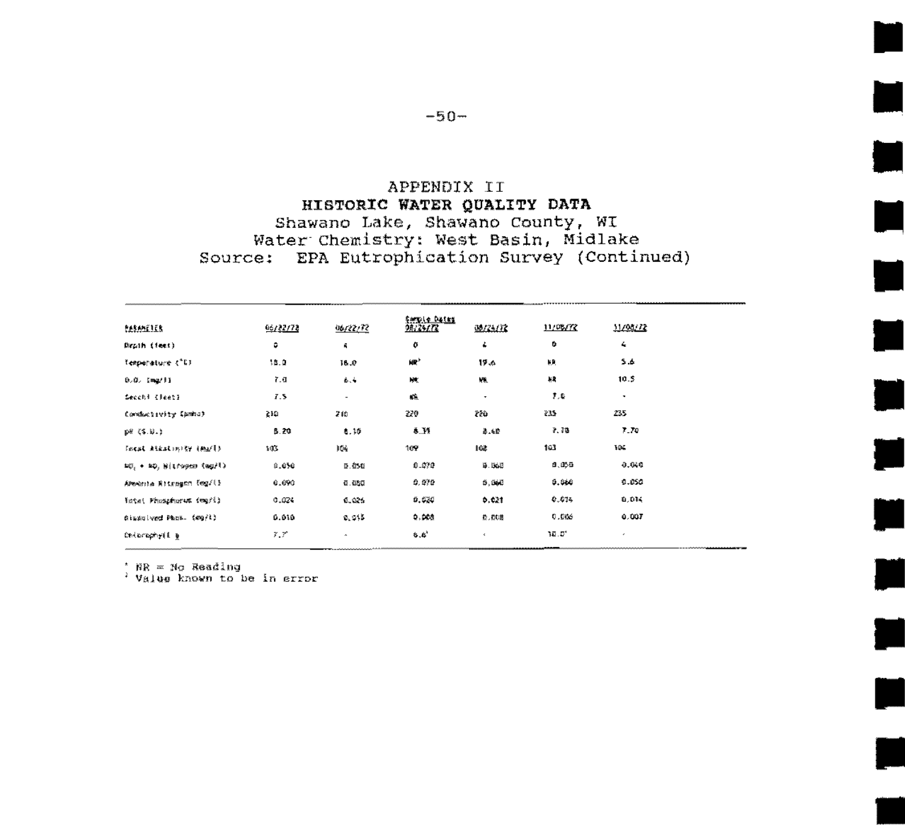#### APPENDIX II HISTORIC WATER QUALITY DATA Shawano Lake, Shawano County, WI Water Chemistry: West Basin, Midlake Source: EPA Eutrophication Survey (Continued)

| <b>RASAMETER</b>          | 06/22/72 | 06/22/72                 | SMIDLE DALKE<br>98/25/72 | 3923132      | 11/08/72 | 11/04/72   |
|---------------------------|----------|--------------------------|--------------------------|--------------|----------|------------|
| Drath (feet)              | ٥        | Ň,                       | o                        | ۷            | ۰        | $\epsilon$ |
| Temporature (°E).         | 3.3.2    | 18.O                     | 瓣                        | 19.4         | ER.      | 5.6        |
| 0.0. INQ/FI               | 7.0      | 46.4                     | 映                        | 叢            | 机构       | 10.5       |
| Second (Reet)             | 7.5      | $\overline{\phantom{a}}$ | 嗾                        | ٠            | 乳脂       | ٠          |
| Conductivity Canbal       | 210      | 280                      | 220                      | 220          | 235      | 235        |
| 動態 《第三》。)                 | 8.29     | €.35                     | 8.Y                      | ●「母          | 2.28     | 7.78       |
| Incst Atkatinity (Ma/E)   | 183      | 矮                        | 169                      | 16歳          | 163      | 194        |
| NO, + NO, Bitroges (mg/%) | 8,656    | 0.050                    | 0.070                    | <b>9.568</b> | 8.055    | 0.640      |
| APendrila Ritragen (eg/() | 0.000    | 6.623                    | 0.070                    | 5,565        | 9.960    | 6.650      |
| ficts: Fhiskphorem (mg/i) | 0.024    | 6.026                    | 0.030                    | 0.021        | 0.075    | 0,014      |
| Sizzaived Phon. (mg/l)    | 0.010    | 0.915                    | 0.008                    | た、だむ悲        | 0.006    | 0.007      |
| Delumaryii a              | 7.7      | ۸                        | 6.6'                     | $\epsilon$   | 10.D'    | ٠          |

\* NR = No Reading<br>\* Value known to be in error